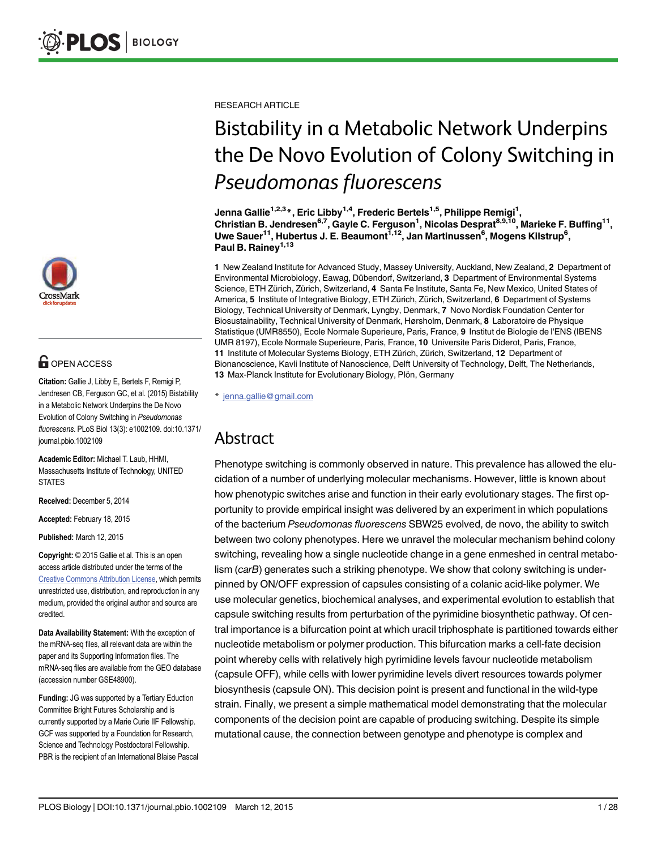

### **G** OPEN ACCESS

Citation: Gallie J, Libby E, Bertels F, Remigi P, Jendresen CB, Ferguson GC, et al. (2015) Bistability in a Metabolic Network Underpins the De Novo Evolution of Colony Switching in Pseudomonas fluorescens. PLoS Biol 13(3): e1002109. doi:10.1371/ journal.pbio.1002109

Academic Editor: Michael T. Laub, HHMI, Massachusetts Institute of Technology, UNITED **STATES** 

Received: December 5, 2014

Accepted: February 18, 2015

Published: March 12, 2015

Copyright: © 2015 Gallie et al. This is an open access article distributed under the terms of the [Creative Commons Attribution License,](http://creativecommons.org/licenses/by/4.0/) which permits unrestricted use, distribution, and reproduction in any medium, provided the original author and source are credited.

Data Availability Statement: With the exception of the mRNA-seq files, all relevant data are within the paper and its Supporting Information files. The mRNA-seq files are available from the GEO database (accession number GSE48900).

Funding: JG was supported by a Tertiary Eduction Committee Bright Futures Scholarship and is currently supported by a Marie Curie IIF Fellowship. GCF was supported by a Foundation for Research, Science and Technology Postdoctoral Fellowship. PBR is the recipient of an International Blaise Pascal RESEARCH ARTICLE

## Bistability in a Metabolic Network Underpins the De Novo Evolution of Colony Switching in Pseudomonas fluorescens

Jenna Gallie<sup>1,2,3</sup>\*, Eric Libby<sup>1,4</sup>, Frederic Bertels<sup>1,5</sup>, Philippe Remigi<sup>1</sup>, Christian B. Jendresen<sup>6,7</sup>, Gayle C. Ferguson<sup>1</sup>, Nicolas Desprat<sup>8,9,10</sup>, Marieke F. Buffing<sup>11</sup>, Uwe Sauer<sup>11</sup>, Hubertus J. E. Beaumont<sup>1,12</sup>, Jan Martinussen<sup>6</sup>, Mogens Kilstrup<sup>6</sup>, Paul B. Rainey<sup>1,13</sup>

1 New Zealand Institute for Advanced Study, Massey University, Auckland, New Zealand, 2 Department of Environmental Microbiology, Eawag, Dübendorf, Switzerland, 3 Department of Environmental Systems Science, ETH Zürich, Zürich, Switzerland, 4 Santa Fe Institute, Santa Fe, New Mexico, United States of America, 5 Institute of Integrative Biology, ETH Zürich, Zürich, Switzerland, 6 Department of Systems Biology, Technical University of Denmark, Lyngby, Denmark, 7 Novo Nordisk Foundation Center for Biosustainability, Technical University of Denmark, Hørsholm, Denmark, 8 Laboratoire de Physique Statistique (UMR8550), Ecole Normale Superieure, Paris, France, 9 Institut de Biologie de l'ENS (IBENS UMR 8197), Ecole Normale Superieure, Paris, France, 10 Universite Paris Diderot, Paris, France, 11 Institute of Molecular Systems Biology, ETH Zürich, Zürich, Switzerland, 12 Department of Bionanoscience, Kavli Institute of Nanoscience, Delft University of Technology, Delft, The Netherlands, 13 Max-Planck Institute for Evolutionary Biology, Plön, Germany

\* jenna.gallie@gmail.com

## Abstract

Phenotype switching is commonly observed in nature. This prevalence has allowed the elucidation of a number of underlying molecular mechanisms. However, little is known about how phenotypic switches arise and function in their early evolutionary stages. The first opportunity to provide empirical insight was delivered by an experiment in which populations of the bacterium Pseudomonas fluorescens SBW25 evolved, de novo, the ability to switch between two colony phenotypes. Here we unravel the molecular mechanism behind colony switching, revealing how a single nucleotide change in a gene enmeshed in central metabolism (carB) generates such a striking phenotype. We show that colony switching is underpinned by ON/OFF expression of capsules consisting of a colanic acid-like polymer. We use molecular genetics, biochemical analyses, and experimental evolution to establish that capsule switching results from perturbation of the pyrimidine biosynthetic pathway. Of central importance is a bifurcation point at which uracil triphosphate is partitioned towards either nucleotide metabolism or polymer production. This bifurcation marks a cell-fate decision point whereby cells with relatively high pyrimidine levels favour nucleotide metabolism (capsule OFF), while cells with lower pyrimidine levels divert resources towards polymer biosynthesis (capsule ON). This decision point is present and functional in the wild-type strain. Finally, we present a simple mathematical model demonstrating that the molecular components of the decision point are capable of producing switching. Despite its simple mutational cause, the connection between genotype and phenotype is complex and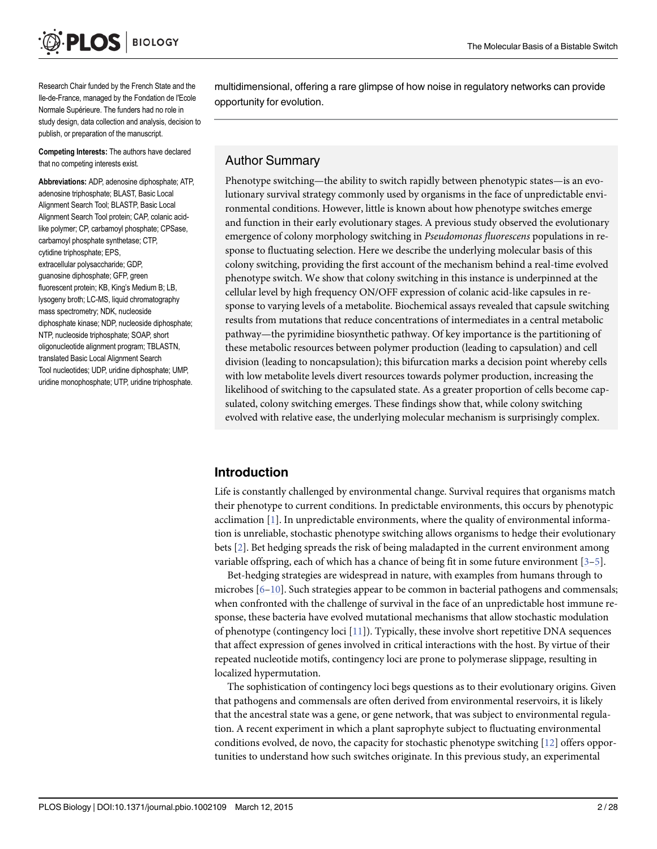<span id="page-1-0"></span>

Research Chair funded by the French State and the Ile-de-France, managed by the Fondation de l'Ecole Normale Supérieure. The funders had no role in study design, data collection and analysis, decision to publish, or preparation of the manuscript.

Competing Interests: The authors have declared that no competing interests exist.

Abbreviations: ADP, adenosine diphosphate; ATP, adenosine triphosphate; BLAST, Basic Local Alignment Search Tool; BLASTP, Basic Local Alignment Search Tool protein; CAP, colanic acidlike polymer; CP, carbamoyl phosphate; CPSase, carbamoyl phosphate synthetase; CTP, cytidine triphosphate; EPS, extracellular polysaccharide; GDP, guanosine diphosphate; GFP, green fluorescent protein; KB, King's Medium B; LB, lysogeny broth; LC-MS, liquid chromatography mass spectrometry; NDK, nucleoside diphosphate kinase; NDP, nucleoside diphosphate; NTP, nucleoside triphosphate; SOAP, short oligonucleotide alignment program; TBLASTN, translated Basic Local Alignment Search Tool nucleotides; UDP, uridine diphosphate; UMP, uridine monophosphate; UTP, uridine triphosphate.

multidimensional, offering a rare glimpse of how noise in regulatory networks can provide opportunity for evolution.

#### Author Summary

Phenotype switching—the ability to switch rapidly between phenotypic states—is an evolutionary survival strategy commonly used by organisms in the face of unpredictable environmental conditions. However, little is known about how phenotype switches emerge and function in their early evolutionary stages. A previous study observed the evolutionary emergence of colony morphology switching in *Pseudomonas fluorescens* populations in response to fluctuating selection. Here we describe the underlying molecular basis of this colony switching, providing the first account of the mechanism behind a real-time evolved phenotype switch. We show that colony switching in this instance is underpinned at the cellular level by high frequency ON/OFF expression of colanic acid-like capsules in response to varying levels of a metabolite. Biochemical assays revealed that capsule switching results from mutations that reduce concentrations of intermediates in a central metabolic pathway—the pyrimidine biosynthetic pathway. Of key importance is the partitioning of these metabolic resources between polymer production (leading to capsulation) and cell division (leading to noncapsulation); this bifurcation marks a decision point whereby cells with low metabolite levels divert resources towards polymer production, increasing the likelihood of switching to the capsulated state. As a greater proportion of cells become capsulated, colony switching emerges. These findings show that, while colony switching evolved with relative ease, the underlying molecular mechanism is surprisingly complex.

#### Introduction

Life is constantly challenged by environmental change. Survival requires that organisms match their phenotype to current conditions. In predictable environments, this occurs by phenotypic acclimation  $[1]$ . In unpredictable environments, where the quality of environmental information is unreliable, stochastic phenotype switching allows organisms to hedge their evolutionary bets  $[2]$  $[2]$ . Bet hedging spreads the risk of being maladapted in the current environment among variable offspring, each of which has a chance of being fit in some future environment [\[3](#page-24-0)–[5](#page-24-0)].

Bet-hedging strategies are widespread in nature, with examples from humans through to microbes  $[6-10]$  $[6-10]$  $[6-10]$  $[6-10]$  $[6-10]$ . Such strategies appear to be common in bacterial pathogens and commensals; when confronted with the challenge of survival in the face of an unpredictable host immune response, these bacteria have evolved mutational mechanisms that allow stochastic modulation of phenotype (contingency loci  $[11]$  $[11]$  $[11]$ ). Typically, these involve short repetitive DNA sequences that affect expression of genes involved in critical interactions with the host. By virtue of their repeated nucleotide motifs, contingency loci are prone to polymerase slippage, resulting in localized hypermutation.

The sophistication of contingency loci begs questions as to their evolutionary origins. Given that pathogens and commensals are often derived from environmental reservoirs, it is likely that the ancestral state was a gene, or gene network, that was subject to environmental regulation. A recent experiment in which a plant saprophyte subject to fluctuating environmental conditions evolved, de novo, the capacity for stochastic phenotype switching [\[12](#page-25-0)] offers opportunities to understand how such switches originate. In this previous study, an experimental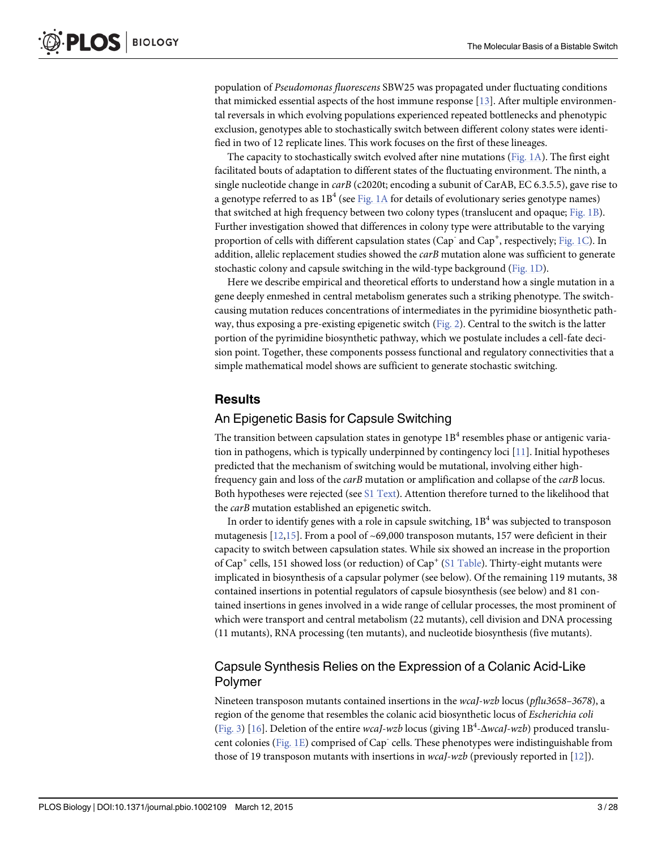<span id="page-2-0"></span>population of Pseudomonas fluorescens SBW25 was propagated under fluctuating conditions that mimicked essential aspects of the host immune response  $[13]$  $[13]$  $[13]$ . After multiple environmental reversals in which evolving populations experienced repeated bottlenecks and phenotypic exclusion, genotypes able to stochastically switch between different colony states were identified in two of 12 replicate lines. This work focuses on the first of these lineages.

The capacity to stochastically switch evolved after nine mutations ( $Fig. 1A$ ). The first eight facilitated bouts of adaptation to different states of the fluctuating environment. The ninth, a single nucleotide change in carB (c2020t; encoding a subunit of CarAB, EC 6.3.5.5), gave rise to a genotype referred to as  $1B<sup>4</sup>$  (see [Fig. 1A](#page-3-0) for details of evolutionary series genotype names) that switched at high frequency between two colony types (translucent and opaque; [Fig. 1B](#page-3-0)). Further investigation showed that differences in colony type were attributable to the varying proportion of cells with different capsulation states (Cap<sup>-</sup> and Cap<sup>+</sup>, respectively; [Fig. 1C\)](#page-3-0). In addition, allelic replacement studies showed the  $carB$  mutation alone was sufficient to generate stochastic colony and capsule switching in the wild-type background [\(Fig. 1D](#page-3-0)).

Here we describe empirical and theoretical efforts to understand how a single mutation in a gene deeply enmeshed in central metabolism generates such a striking phenotype. The switchcausing mutation reduces concentrations of intermediates in the pyrimidine biosynthetic pathway, thus exposing a pre-existing epigenetic switch ([Fig. 2](#page-4-0)). Central to the switch is the latter portion of the pyrimidine biosynthetic pathway, which we postulate includes a cell-fate decision point. Together, these components possess functional and regulatory connectivities that a simple mathematical model shows are sufficient to generate stochastic switching.

#### **[Results](#page-8-0)**

#### An Epigenetic Basis for Capsule Switching

The transition between capsulation states in genotype  $1B<sup>4</sup>$  resembles phase or antigenic variation in pathogens, which is typically underpinned by contingency loci  $[11]$  $[11]$  $[11]$ . Initial hypotheses predicted that the mechanism of switching would be mutational, involving either highfrequency gain and loss of the carB mutation or amplification and collapse of the carB locus. Both hypotheses were rejected (see  $S1$  Text). Attention therefore turned to the likelihood that the carB mutation established an epigenetic switch.

In order to identify genes with a role in capsule switching,  $1B<sup>4</sup>$  was subjected to transposon mutagenesis  $[12,15]$  $[12,15]$  $[12,15]$ . From a pool of ~69,000 transposon mutants, 157 were deficient in their capacity to switch between capsulation states. While six showed an increase in the proportion of Cap<sup>+</sup> cells, 151 showed loss (or reduction) of Cap<sup>+</sup> ([S1 Table\)](#page-22-0). Thirty-eight mutants were implicated in biosynthesis of a capsular polymer (see below). Of the remaining 119 mutants, 38 contained insertions in potential regulators of capsule biosynthesis (see below) and 81 contained insertions in genes involved in a wide range of cellular processes, the most prominent of which were transport and central metabolism (22 mutants), cell division and DNA processing (11 mutants), RNA processing (ten mutants), and nucleotide biosynthesis (five mutants).

#### Capsule Synthesis Relies on the Expression of a Colanic Acid-Like Polymer

Nineteen transposon mutants contained insertions in the wcaJ-wzb locus (pflu3658-3678), a region of the genome that resembles the colanic acid biosynthetic locus of Escherichia coli [\(Fig. 3](#page-5-0)) [\[16\]](#page-25-0). Deletion of the entire wcaJ-wzb locus (giving  $1B^4$ - $\Delta$ wcaJ-wzb) produced translu-cent colonies [\(Fig. 1E](#page-3-0)) comprised of Cap<sup>-</sup> cells. These phenotypes were indistinguishable from those of 19 transposon mutants with insertions in *wcaJ-wzb* (previously reported in  $[12]$  $[12]$ ).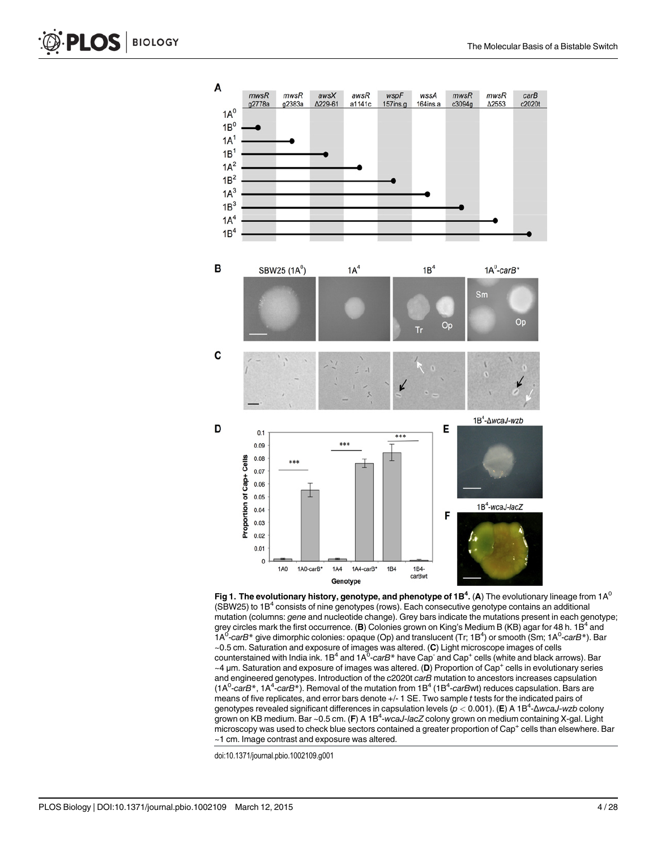<span id="page-3-0"></span>



[Fig 1. T](#page-2-0)he evolutionary history, genotype, and phenotype of 1B<sup>4</sup>. (A) The evolutionary lineage from 1A<sup>0</sup>  $(SBW25)$  to  $1B<sup>4</sup>$  consists of nine genotypes (rows). Each consecutive genotype contains an additional mutation (columns: gene and nucleotide change). Grey bars indicate the mutations present in each genotype; grey circles mark the first occurrence. (B) Colonies grown on King's Medium B (KB) agar for 48 h. 1B<sup>4</sup> and  $1$ A<sup>0</sup>-carB\* give dimorphic colonies: opaque (Op) and translucent (Tr; 1B<sup>4</sup>) or smooth (Sm; 1A<sup>0</sup>-carB\*). Bar ~0.5 cm. Saturation and exposure of images was altered. (C) Light microscope images of cells counterstained with India ink. 1B<sup>4</sup> and 1A<sup>0</sup>-carB\* have Cap<sup>-</sup> and Cap<sup>+</sup> cells (white and black arrows). Bar  $~\sim$ 4 µm. Saturation and exposure of images was altered. (D) Proportion of Cap<sup>+</sup> cells in evolutionary series and engineered genotypes. Introduction of the c2020t carB mutation to ancestors increases capsulation (1A<sup>0</sup>-carB<sup>\*</sup>, 1A<sup>4</sup>-carB<sup>\*</sup>). Removal of the mutation from 1B<sup>4</sup> (1B<sup>4</sup>-carBwt) reduces capsulation. Bars are means of five replicates, and error bars denote +/- 1 SE. Two sample t tests for the indicated pairs of genotypes revealed significant differences in capsulation levels ( $p < 0.001$ ). (E) A 1B<sup>4</sup>- $\Delta$ wcaJ-wzb colony grown on KB medium. Bar ~0.5 cm. (F) A 1B<sup>4</sup>-wcaJ-lacZ colony grown on medium containing X-gal. Light microscopy was used to check blue sectors contained a greater proportion of Cap<sup>+</sup> cells than elsewhere. Bar ~1 cm. Image contrast and exposure was altered.

doi:10.1371/journal.pbio.1002109.g001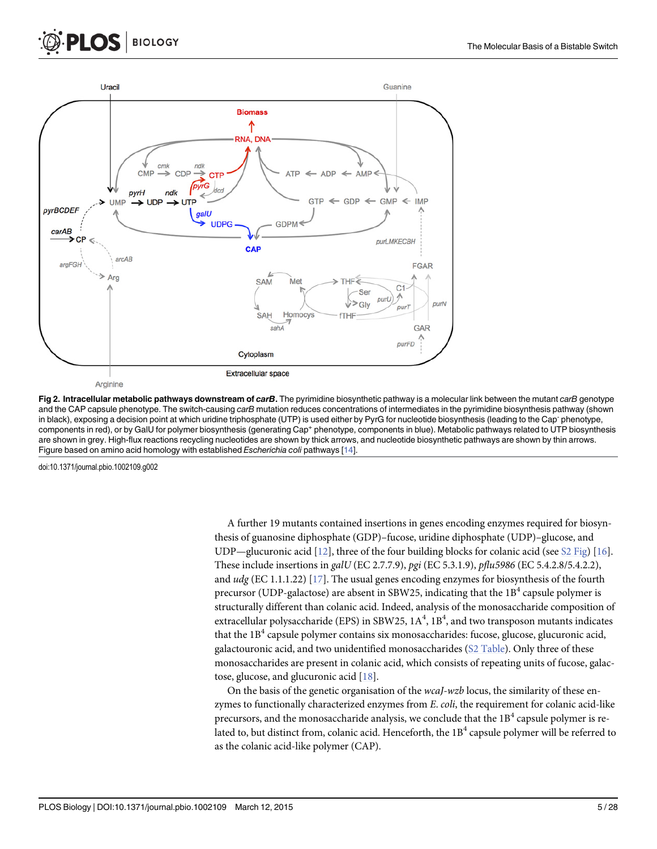<span id="page-4-0"></span>

[Fig 2. I](#page-2-0)ntracellular metabolic pathways downstream of carB. The pyrimidine biosynthetic pathway is a molecular link between the mutant carB genotype and the CAP capsule phenotype. The switch-causing carB mutation reduces concentrations of intermediates in the pyrimidine biosynthesis pathway (shown in black), exposing a decision point at which uridine triphosphate (UTP) is used either by PyrG for nucleotide biosynthesis (leading to the Cap-phenotype, components in red), or by GalU for polymer biosynthesis (generating Cap<sup>+</sup> phenotype, components in blue). Metabolic pathways related to UTP biosynthesis are shown in grey. High-flux reactions recycling nucleotides are shown by thick arrows, and nucleotide biosynthetic pathways are shown by thin arrows. Figure based on amino acid homology with established Escherichia coli pathways [\[14](#page-25-0)].

doi:10.1371/journal.pbio.1002109.g002

A further 19 mutants contained insertions in genes encoding enzymes required for biosynthesis of guanosine diphosphate (GDP)–fucose, uridine diphosphate (UDP)–glucose, and UDP—glucuronic acid [\[12\]](#page-25-0), three of the four building blocks for colanic acid (see [S2 Fig](#page-20-0)) [\[16\]](#page-25-0). These include insertions in galU (EC 2.7.7.9), pgi (EC 5.3.1.9), pflu5986 (EC 5.4.2.8/5.4.2.2), and  $udg$  (EC 1.1.1.22) [\[17\]](#page-25-0). The usual genes encoding enzymes for biosynthesis of the fourth precursor (UDP-galactose) are absent in SBW25, indicating that the  $1B<sup>4</sup>$  capsule polymer is structurally different than colanic acid. Indeed, analysis of the monosaccharide composition of extracellular polysaccharide (EPS) in SBW25,  $1\text{A}^4$ ,  $1\text{B}^4$ , and two transposon mutants indicates that the  $1B<sup>4</sup>$  capsule polymer contains six monosaccharides: fucose, glucose, glucuronic acid, galactouronic acid, and two unidentified monosaccharides  $(S2$  Table). Only three of these monosaccharides are present in colanic acid, which consists of repeating units of fucose, galactose, glucose, and glucuronic acid [[18](#page-25-0)].

On the basis of the genetic organisation of the wcaJ-wzb locus, the similarity of these enzymes to functionally characterized enzymes from E. coli, the requirement for colanic acid-like precursors, and the monosaccharide analysis, we conclude that the  $1B<sup>4</sup>$  capsule polymer is related to, but distinct from, colanic acid. Henceforth, the  $1B<sup>4</sup>$  capsule polymer will be referred to as the colanic acid-like polymer (CAP).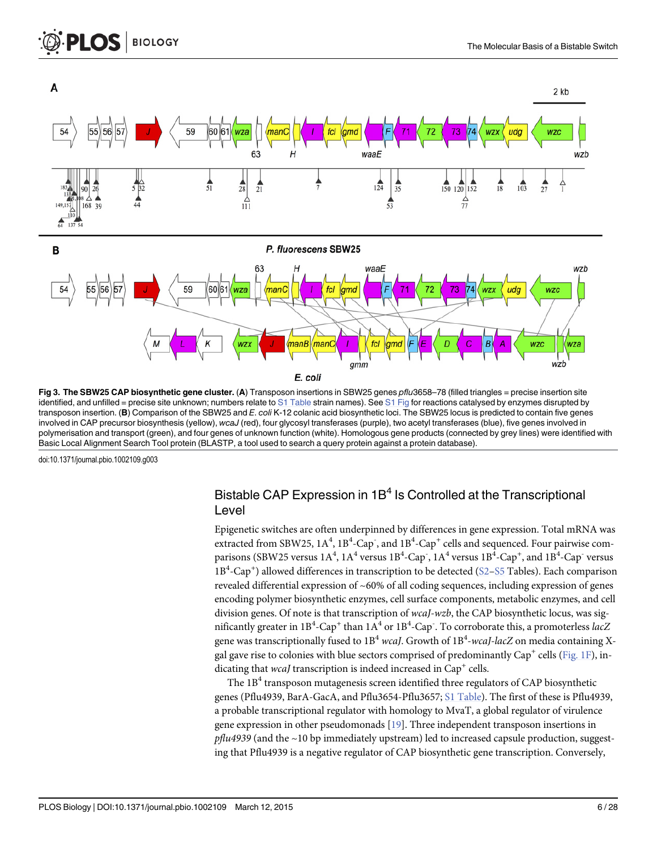# <span id="page-5-0"></span>**BIOLOGY**



[Fig 3. T](#page-2-0)he SBW25 CAP biosynthetic gene cluster. (A) Transposon insertions in SBW25 genes pflu3658-78 (filled triangles = precise insertion site identified, and unfilled = precise site unknown; numbers relate to [S1 Table](#page-22-0) strain names). See [S1 Fig](#page-20-0) for reactions catalysed by enzymes disrupted by transposon insertion. (B) Comparison of the SBW25 and E. coli K-12 colanic acid biosynthetic loci. The SBW25 locus is predicted to contain five genes involved in CAP precursor biosynthesis (yellow), wcaJ (red), four glycosyl transferases (purple), two acetyl transferases (blue), five genes involved in polymerisation and transport (green), and four genes of unknown function (white). Homologous gene products (connected by grey lines) were identified with Basic Local Alignment Search Tool protein (BLASTP, a tool used to search a query protein against a protein database).

doi:10.1371/journal.pbio.1002109.g003

#### Bistable CAP Expression in  $1B<sup>4</sup>$  Is Controlled at the Transcriptional Level

Epigenetic switches are often underpinned by differences in gene expression. Total mRNA was extracted from SBW25,  $1A^4$ ,  $1B^4$ -Cap<sup>-</sup>, and  $1B^4$ -Cap<sup>+</sup> cells and sequenced. Four pairwise comparisons (SBW25 versus  $1A^4$ ,  $1A^4$  versus  $1B^4$ -Cap $\bar{}$ ,  $1A^4$  versus  $1B^4$ -Cap $^+$ , and  $1B^4$ -Cap $\bar{}$  versus 1B<sup>4</sup>-Cap<sup>+</sup>) allowed differences in transcription to be detected ([S2](#page-22-0)–[S5](#page-23-0) Tables). Each comparison revealed differential expression of  $\sim 60\%$  of all coding sequences, including expression of genes encoding polymer biosynthetic enzymes, cell surface components, metabolic enzymes, and cell division genes. Of note is that transcription of wcaJ-wzb, the CAP biosynthetic locus, was significantly greater in  $1B^4$ -Cap<sup>+</sup> than  $1A^4$  or  $1B^4$ -Cap<sup>-</sup>. To corroborate this, a promoterless *lacZ* gene was transcriptionally fused to 1B<sup>4</sup> wcaJ. Growth of 1B<sup>4</sup>-wcaJ-lacZ on media containing Xgal gave rise to colonies with blue sectors comprised of predominantly  $Cap<sup>+</sup>$  cells [\(Fig. 1F](#page-3-0)), indicating that *wcaJ* transcription is indeed increased in Cap<sup>+</sup> cells.

The  $1B<sup>4</sup>$  transposon mutagenesis screen identified three regulators of CAP biosynthetic genes (Pflu4939, BarA-GacA, and Pflu3654-Pflu3657; [S1 Table\)](#page-22-0). The first of these is Pflu4939, a probable transcriptional regulator with homology to MvaT, a global regulator of virulence gene expression in other pseudomonads [\[19](#page-25-0)]. Three independent transposon insertions in  $p$ flu4939 (and the ~10 bp immediately upstream) led to increased capsule production, suggesting that Pflu4939 is a negative regulator of CAP biosynthetic gene transcription. Conversely,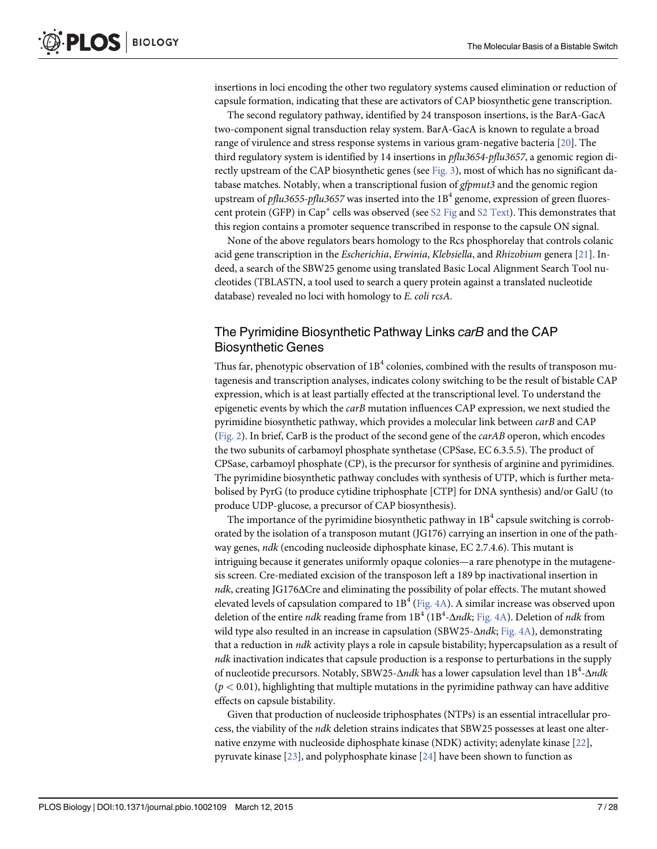<span id="page-6-0"></span>insertions in loci encoding the other two regulatory systems caused elimination or reduction of capsule formation, indicating that these are activators of CAP biosynthetic gene transcription.

The second regulatory pathway, identified by 24 transposon insertions, is the BarA-GacA two-component signal transduction relay system. BarA-GacA is known to regulate a broad range of virulence and stress response systems in various gram-negative bacteria [[20](#page-25-0)]. The third regulatory system is identified by 14 insertions in *pflu3654-pflu3657*, a genomic region di-rectly upstream of the CAP biosynthetic genes (see [Fig. 3](#page-5-0)), most of which has no significant database matches. Notably, when a transcriptional fusion of *gfpmut3* and the genomic region upstream of  $p\beta\mu$ 3655-p $\beta\mu$ 3657 was inserted into the 1B<sup>4</sup> genome, expression of green fluorescent protein (GFP) in Cap<sup>+</sup> cells was observed (see  $S2$  Fig and  $S2$  Text). This demonstrates that this region contains a promoter sequence transcribed in response to the capsule ON signal.

None of the above regulators bears homology to the Rcs phosphorelay that controls colanic acid gene transcription in the Escherichia, Erwinia, Klebsiella, and Rhizobium genera [\[21\]](#page-25-0). Indeed, a search of the SBW25 genome using translated Basic Local Alignment Search Tool nucleotides (TBLASTN, a tool used to search a query protein against a translated nucleotide database) revealed no loci with homology to E. coli rcsA.

#### The Pyrimidine Biosynthetic Pathway Links carB and the CAP Biosynthetic Genes

Thus far, phenotypic observation of  $1B<sup>4</sup>$  colonies, combined with the results of transposon mutagenesis and transcription analyses, indicates colony switching to be the result of bistable CAP expression, which is at least partially effected at the transcriptional level. To understand the epigenetic events by which the  $carB$  mutation influences CAP expression, we next studied the pyrimidine biosynthetic pathway, which provides a molecular link between carB and CAP [\(Fig. 2](#page-4-0)). In brief, CarB is the product of the second gene of the carAB operon, which encodes the two subunits of carbamoyl phosphate synthetase (CPSase, EC 6.3.5.5). The product of CPSase, carbamoyl phosphate (CP), is the precursor for synthesis of arginine and pyrimidines. The pyrimidine biosynthetic pathway concludes with synthesis of UTP, which is further metabolised by PyrG (to produce cytidine triphosphate [CTP] for DNA synthesis) and/or GalU (to produce UDP-glucose, a precursor of CAP biosynthesis).

The importance of the pyrimidine biosynthetic pathway in  $1B<sup>4</sup>$  capsule switching is corroborated by the isolation of a transposon mutant (JG176) carrying an insertion in one of the pathway genes, ndk (encoding nucleoside diphosphate kinase, EC 2.7.4.6). This mutant is intriguing because it generates uniformly opaque colonies—a rare phenotype in the mutagenesis screen. Cre-mediated excision of the transposon left a 189 bp inactivational insertion in ndk, creating JG176ΔCre and eliminating the possibility of polar effects. The mutant showed elevated levels of capsulation compared to  $1B<sup>4</sup>$  [\(Fig. 4A\)](#page-7-0). A similar increase was observed upon deletion of the entire ndk reading frame from  $1\text{B}^4$  ( $1\text{B}^4$ - $\Delta$ ndk; <u>Fig. 4A</u>). Deletion of ndk from wild type also resulted in an increase in capsulation (SBW25- $\Delta ndk$ ; [Fig. 4A](#page-7-0)), demonstrating that a reduction in ndk activity plays a role in capsule bistability; hypercapsulation as a result of ndk inactivation indicates that capsule production is a response to perturbations in the supply of nucleotide precursors. Notably, SBW25- $\Delta$ ndk has a lower capsulation level than 1B<sup>4</sup>- $\Delta$ ndk  $(p < 0.01)$ , highlighting that multiple mutations in the pyrimidine pathway can have additive effects on capsule bistability.

Given that production of nucleoside triphosphates (NTPs) is an essential intracellular process, the viability of the ndk deletion strains indicates that SBW25 possesses at least one alternative enzyme with nucleoside diphosphate kinase (NDK) activity; adenylate kinase [[22](#page-25-0)], pyruvate kinase  $[23]$  $[23]$  $[23]$ , and polyphosphate kinase  $[24]$  $[24]$  have been shown to function as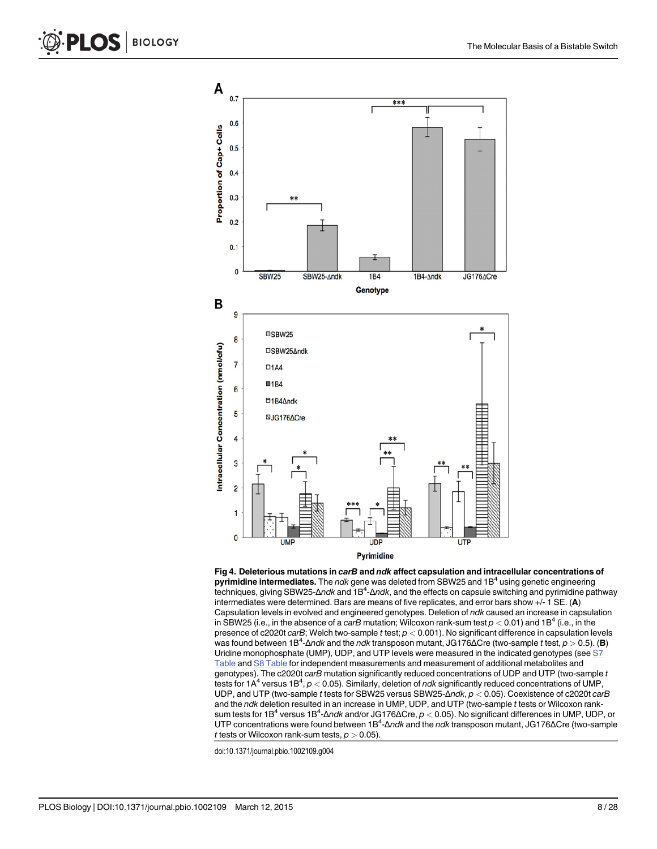<span id="page-7-0"></span>



[Fig 4. D](#page-6-0)eleterious mutations in carB and ndk affect capsulation and intracellular concentrations of pyrimidine intermediates. The ndk gene was deleted from SBW25 and 1B<sup>4</sup> using genetic engineering techniques, giving SBW25-Δ*ndk* and 1B<sup>4</sup>-Δ*ndk*, and the effects on capsule switching and pyrimidine pathway intermediates were determined. Bars are means of five replicates, and error bars show +/- 1 SE. (A) Capsulation levels in evolved and engineered genotypes. Deletion of ndk caused an increase in capsulation in SBW25 (i.e., in the absence of a carB mutation; Wilcoxon rank-sum test  $p < 0.01$ ) and 1B<sup>4</sup> (i.e., in the presence of c2020t carB; Welch two-sample t test;  $p < 0.001$ ). No significant difference in capsulation levels .<br>was found between 1B<sup>4</sup>-Δ*ndk* and the *ndk* transposon mutant, JG176ΔCre (two-sample *t* test, *p*  $>$  0.5). (**B**) Uridine monophosphate (UMP), UDP, and UTP levels were measured in the indicated genotypes (see [S7](#page-23-0) [Table](#page-23-0) and [S8 Table](#page-23-0) for independent measurements and measurement of additional metabolites and genotypes). The c2020t carB mutation significantly reduced concentrations of UDP and UTP (two-sample t tests for 1A<sup>4</sup> versus 1B<sup>4</sup>,  $p <$  0.05). Similarly, deletion of ndk significantly reduced concentrations of UMP, UDP, and UTP (two-sample t tests for SBW25 versus SBW25- $\Delta$ ndk,  $p < 0.05$ ). Coexistence of c2020t carB and the ndk deletion resulted in an increase in UMP, UDP, and UTP (two-sample t tests or Wilcoxon ranksum tests for 1B<sup>4</sup> versus 1B<sup>4</sup>-Δ*ndk* and/or JG176 $\Delta$ Cre,  $\rho$  < 0.05). No significant differences in UMP, UDP, or UTP concentrations were found between 1B<sup>4</sup>-Δndk and the ndk transposon mutant, JG176ΔCre (two-sample t tests or Wilcoxon rank-sum tests,  $p > 0.05$ ).

doi:10.1371/journal.pbio.1002109.g004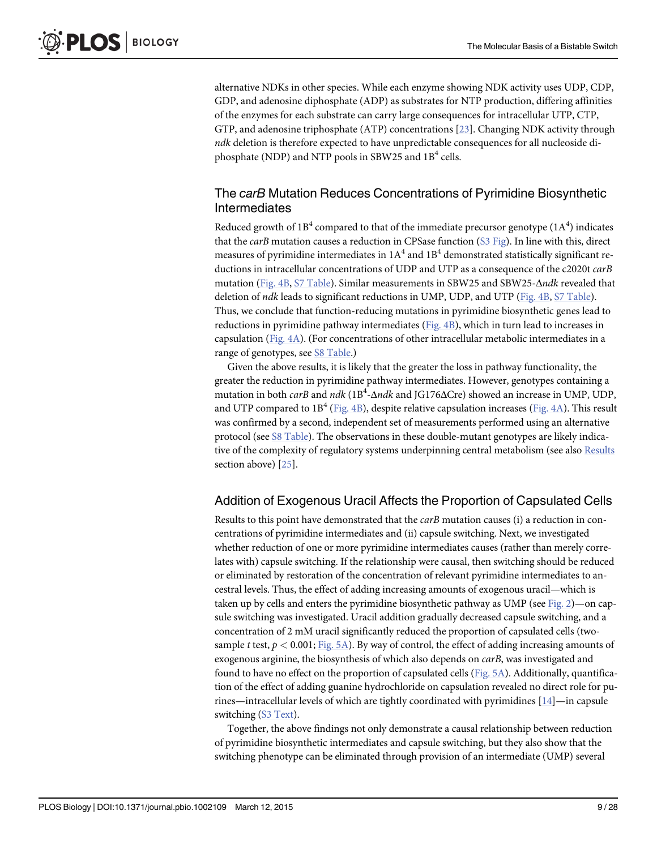<span id="page-8-0"></span>alternative NDKs in other species. While each enzyme showing NDK activity uses UDP, CDP, GDP, and adenosine diphosphate (ADP) as substrates for NTP production, differing affinities of the enzymes for each substrate can carry large consequences for intracellular UTP, CTP, GTP, and adenosine triphosphate (ATP) concentrations [\[23\]](#page-25-0). Changing NDK activity through ndk deletion is therefore expected to have unpredictable consequences for all nucleoside diphosphate (NDP) and NTP pools in SBW25 and  $1B<sup>4</sup>$  cells.

#### The carB Mutation Reduces Concentrations of Pyrimidine Biosynthetic Intermediates

Reduced growth of  $1B^4$  compared to that of the immediate precursor genotype  $(1A^4)$  indicates that the carB mutation causes a reduction in CPSase function ([S3 Fig\)](#page-20-0). In line with this, direct measures of pyrimidine intermediates in  $1A<sup>4</sup>$  and  $1B<sup>4</sup>$  demonstrated statistically significant reductions in intracellular concentrations of UDP and UTP as a consequence of the c2020t carB mutation [\(Fig. 4B,](#page-7-0) [S7 Table](#page-23-0)). Similar measurements in SBW25 and SBW25-Δndk revealed that deletion of ndk leads to significant reductions in UMP, UDP, and UTP ([Fig. 4B](#page-7-0), [S7 Table\)](#page-23-0). Thus, we conclude that function-reducing mutations in pyrimidine biosynthetic genes lead to reductions in pyrimidine pathway intermediates ([Fig. 4B](#page-7-0)), which in turn lead to increases in capsulation [\(Fig. 4A\)](#page-7-0). (For concentrations of other intracellular metabolic intermediates in a range of genotypes, see [S8 Table.](#page-23-0))

Given the above results, it is likely that the greater the loss in pathway functionality, the greater the reduction in pyrimidine pathway intermediates. However, genotypes containing a mutation in both *carB* and *ndk* (1B<sup>4</sup>- $\Delta$ *ndk* and JG176 $\Delta$ Cre) showed an increase in UMP, UDP, and UTP compared to  $1B^4$  ([Fig. 4B](#page-7-0)), despite relative capsulation increases ([Fig. 4A](#page-7-0)). This result was confirmed by a second, independent set of measurements performed using an alternative protocol (see [S8 Table](#page-23-0)). The observations in these double-mutant genotypes are likely indicative of the complexity of regulatory systems underpinning central metabolism (see also [Results](#page-2-0) section above) [\[25](#page-25-0)].

#### Addition of Exogenous Uracil Affects the Proportion of Capsulated Cells

Results to this point have demonstrated that the carB mutation causes (i) a reduction in concentrations of pyrimidine intermediates and (ii) capsule switching. Next, we investigated whether reduction of one or more pyrimidine intermediates causes (rather than merely correlates with) capsule switching. If the relationship were causal, then switching should be reduced or eliminated by restoration of the concentration of relevant pyrimidine intermediates to ancestral levels. Thus, the effect of adding increasing amounts of exogenous uracil—which is taken up by cells and enters the pyrimidine biosynthetic pathway as UMP (see [Fig. 2](#page-4-0))—on capsule switching was investigated. Uracil addition gradually decreased capsule switching, and a concentration of 2 mM uracil significantly reduced the proportion of capsulated cells (twosample t test,  $p < 0.001$ ; [Fig. 5A\)](#page-9-0). By way of control, the effect of adding increasing amounts of exogenous arginine, the biosynthesis of which also depends on *carB*, was investigated and found to have no effect on the proportion of capsulated cells [\(Fig. 5A\)](#page-9-0). Additionally, quantification of the effect of adding guanine hydrochloride on capsulation revealed no direct role for purines—intracellular levels of which are tightly coordinated with pyrimidines [\[14\]](#page-25-0)—in capsule switching ([S3 Text\)](#page-24-0).

Together, the above findings not only demonstrate a causal relationship between reduction of pyrimidine biosynthetic intermediates and capsule switching, but they also show that the switching phenotype can be eliminated through provision of an intermediate (UMP) several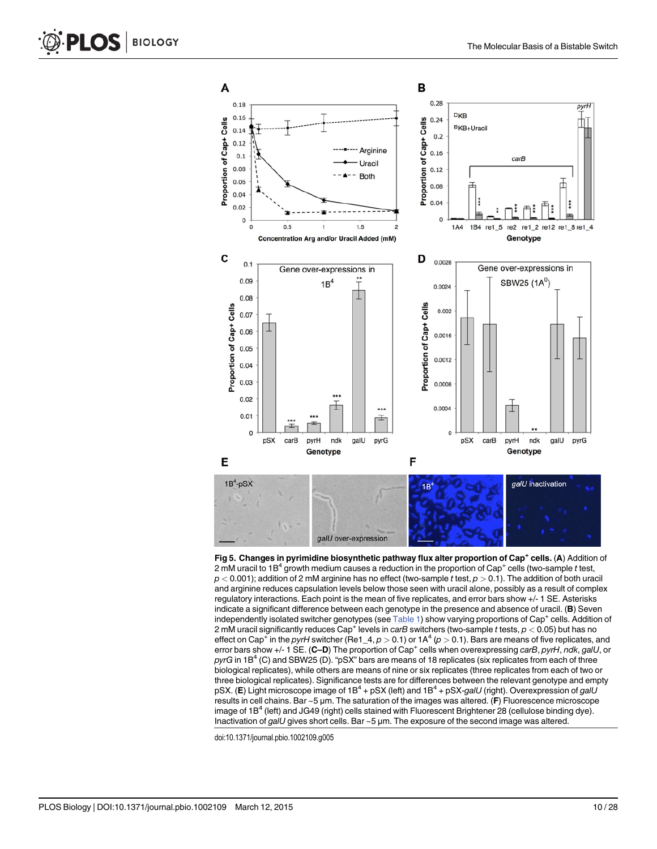

[Fig 5. C](#page-8-0)hanges in pyrimidine biosynthetic pathway flux alter proportion of Cap<sup>+</sup> cells. (A) Addition of 2 mM uracil to  $1B^4$  growth medium causes a reduction in the proportion of Cap<sup>+</sup> cells (two-sample t test,  $p < 0.001$ ); addition of 2 mM arginine has no effect (two-sample t test,  $p > 0.1$ ). The addition of both uracil and arginine reduces capsulation levels below those seen with uracil alone, possibly as a result of complex regulatory interactions. Each point is the mean of five replicates, and error bars show +/- 1 SE. Asterisks indicate a significant difference between each genotype in the presence and absence of uracil. (B) Seven independently isolated switcher genotypes (see [Table 1](#page-10-0)) show varying proportions of Cap<sup>+</sup> cells. Addition of 2 mM uracil significantly reduces Cap<sup>+</sup> levels in carB switchers (two-sample t tests,  $p < 0.05$ ) but has no effect on Cap<sup>+</sup> in the pyrH switcher (Re1  $4, p > 0.1$ ) or  $1A<sup>4</sup>$  ( $p > 0.1$ ). Bars are means of five replicates, and error bars show  $+/-1$  SE. (C-D) The proportion of Cap<sup>+</sup> cells when overexpressing carB, pyrH, ndk, galU, or pyrG in 1B<sup>4</sup> (C) and SBW25 (D). "pSX" bars are means of 18 replicates (six replicates from each of three biological replicates), while others are means of nine or six replicates (three replicates from each of two or three biological replicates). Significance tests are for differences between the relevant genotype and empty pSX. (E) Light microscope image of 1B<sup>4</sup> + pSX (left) and 1B<sup>4</sup> + pSX-galU (right). Overexpression of galU results in cell chains. Bar ~5 μm. The saturation of the images was altered. (F) Fluorescence microscope image of 1B<sup>4</sup> (left) and JG49 (right) cells stained with Fluorescent Brightener 28 (cellulose binding dye). Inactivation of galU gives short cells. Bar ~5 μm. The exposure of the second image was altered.

doi:10.1371/journal.pbio.1002109.g005

<span id="page-9-0"></span>PLOS | BIOLOGY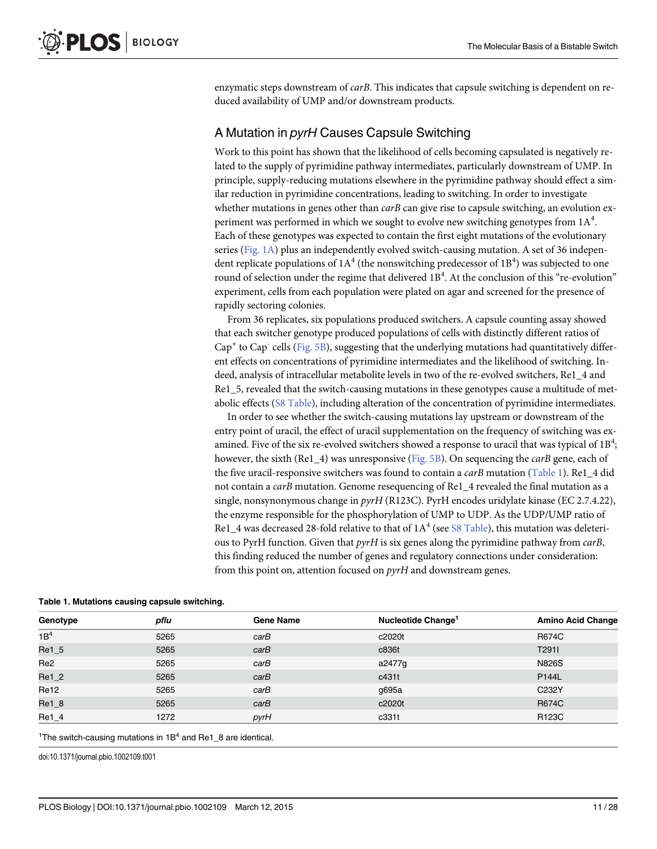<span id="page-10-0"></span>enzymatic steps downstream of  $carB$ . This indicates that capsule switching is dependent on reduced availability of UMP and/or downstream products.

#### A Mutation in pyrH Causes Capsule Switching

Work to this point has shown that the likelihood of cells becoming capsulated is negatively related to the supply of pyrimidine pathway intermediates, particularly downstream of UMP. In principle, supply-reducing mutations elsewhere in the pyrimidine pathway should effect a similar reduction in pyrimidine concentrations, leading to switching. In order to investigate whether mutations in genes other than  $carB$  can give rise to capsule switching, an evolution experiment was performed in which we sought to evolve new switching genotypes from  $1\text{A}^4$ . Each of these genotypes was expected to contain the first eight mutations of the evolutionary series ([Fig. 1A](#page-3-0)) plus an independently evolved switch-causing mutation. A set of 36 independent replicate populations of 1A $^4$  (the nonswitching predecessor of 1B $^4$ ) was subjected to one round of selection under the regime that delivered  $1B^4$ . At the conclusion of this "re-evolution" experiment, cells from each population were plated on agar and screened for the presence of rapidly sectoring colonies.

From 36 replicates, six populations produced switchers. A capsule counting assay showed that each switcher genotype produced populations of cells with distinctly different ratios of Cap<sup>+</sup> to Cap<sup>-</sup> cells ([Fig. 5B\)](#page-9-0), suggesting that the underlying mutations had quantitatively different effects on concentrations of pyrimidine intermediates and the likelihood of switching. Indeed, analysis of intracellular metabolite levels in two of the re-evolved switchers, Re1\_4 and Re1\_5, revealed that the switch-causing mutations in these genotypes cause a multitude of metabolic effects ([S8 Table](#page-23-0)), including alteration of the concentration of pyrimidine intermediates.

In order to see whether the switch-causing mutations lay upstream or downstream of the entry point of uracil, the effect of uracil supplementation on the frequency of switching was examined. Five of the six re-evolved switchers showed a response to uracil that was typical of 1B $^4\!;$ however, the sixth (Re1 $_4$ ) was unresponsive ([Fig. 5B](#page-9-0)). On sequencing the *carB* gene, each of the five uracil-responsive switchers was found to contain a *carB* mutation (Table 1). Re1\_4 did not contain a *carB* mutation. Genome resequencing of Re1\_4 revealed the final mutation as a single, nonsynonymous change in pyrH (R123C). PyrH encodes uridylate kinase (EC 2.7.4.22), the enzyme responsible for the phosphorylation of UMP to UDP. As the UDP/UMP ratio of Re1\_4 was decreased 28-fold relative to that of  $1A<sup>4</sup>$  (see [S8 Table\)](#page-23-0), this mutation was deleterious to PyrH function. Given that pyrH is six genes along the pyrimidine pathway from carB, this finding reduced the number of genes and regulatory connections under consideration: from this point on, attention focused on  $pyrH$  and downstream genes.

| Genotype        | pflu | <b>Gene Name</b> | Nucleotide Change <sup>1</sup> | <b>Amino Acid Change</b> |
|-----------------|------|------------------|--------------------------------|--------------------------|
| 1B <sup>4</sup> | 5265 | carB             | c2020t                         | <b>R674C</b>             |
| $Re1_5$         | 5265 | carB             | c836t                          | T2911                    |
| Re2             | 5265 | carB             | a2477g                         | <b>N826S</b>             |
| $Re1_2$         | 5265 | carB             | c431t                          | P144L                    |
| <b>Re12</b>     | 5265 | carB             | g695a                          | C232Y                    |
| $Re1_8$         | 5265 | carB             | c2020t                         | <b>R674C</b>             |
| $Re1_4$         | 1272 | pyrH             | c331t                          | R123C                    |
|                 |      |                  |                                |                          |

[Table 1.](#page-9-0) Mutations causing capsule switching.

<sup>1</sup>The switch-causing mutations in  $1B<sup>4</sup>$  and Re1\_8 are identical.

doi:10.1371/journal.pbio.1002109.t001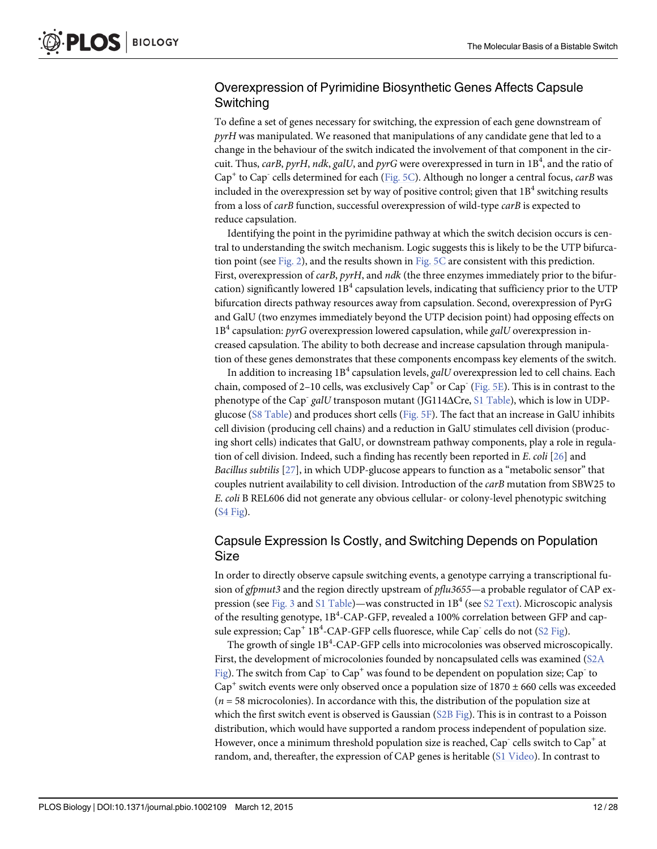#### <span id="page-11-0"></span>Overexpression of Pyrimidine Biosynthetic Genes Affects Capsule Switching

To define a set of genes necessary for switching, the expression of each gene downstream of pyrH was manipulated. We reasoned that manipulations of any candidate gene that led to a change in the behaviour of the switch indicated the involvement of that component in the circuit. Thus, *carB, pyrH, ndk, galU,* and *pyrG were overexpressed in turn in* 1B<sup>4</sup>, and the ratio of Cap<sup>+</sup> to Cap<sup>-</sup> cells determined for each ([Fig. 5C\)](#page-9-0). Although no longer a central focus, *carB* was included in the overexpression set by way of positive control; given that  $1B<sup>4</sup>$  switching results from a loss of carB function, successful overexpression of wild-type carB is expected to reduce capsulation.

Identifying the point in the pyrimidine pathway at which the switch decision occurs is central to understanding the switch mechanism. Logic suggests this is likely to be the UTP bifurca-tion point (see [Fig. 2\)](#page-4-0), and the results shown in [Fig. 5C](#page-9-0) are consistent with this prediction. First, overexpression of *carB*, *pyrH*, and *ndk* (the three enzymes immediately prior to the bifurcation) significantly lowered  $1B<sup>4</sup>$  capsulation levels, indicating that sufficiency prior to the UTP bifurcation directs pathway resources away from capsulation. Second, overexpression of PyrG and GalU (two enzymes immediately beyond the UTP decision point) had opposing effects on  $1B<sup>4</sup>$  capsulation: *pyrG* overexpression lowered capsulation, while *galU* overexpression increased capsulation. The ability to both decrease and increase capsulation through manipulation of these genes demonstrates that these components encompass key elements of the switch.

In addition to increasing  $1B^4$  capsulation levels, *galU* overexpression led to cell chains. Each chain, composed of 2-10 cells, was exclusively Cap<sup>+</sup> or Cap<sup>-</sup> [\(Fig. 5E\)](#page-9-0). This is in contrast to the phenotype of the Cap<sup>-</sup> galU transposon mutant (JG114ΔCre, <u>S1 Table</u>), which is low in UDPglucose ([S8 Table\)](#page-23-0) and produces short cells ([Fig. 5F](#page-9-0)). The fact that an increase in GalU inhibits cell division (producing cell chains) and a reduction in GalU stimulates cell division (producing short cells) indicates that GalU, or downstream pathway components, play a role in regulation of cell division. Indeed, such a finding has recently been reported in E. coli [\[26\]](#page-25-0) and Bacillus subtilis [\[27\]](#page-25-0), in which UDP-glucose appears to function as a "metabolic sensor" that couples nutrient availability to cell division. Introduction of the carB mutation from SBW25 to E. coli B REL606 did not generate any obvious cellular- or colony-level phenotypic switching [\(S4 Fig\)](#page-21-0).

#### Capsule Expression Is Costly, and Switching Depends on Population Size

In order to directly observe capsule switching events, a genotype carrying a transcriptional fusion of gfpmut3 and the region directly upstream of pflu3655-a probable regulator of CAP ex-pression (see [Fig. 3](#page-5-0) and [S1 Table](#page-22-0))—was constructed in  $1B<sup>4</sup>$  (see [S2 Text\)](#page-24-0). Microscopic analysis of the resulting genotype,  $1B^4$ -CAP-GFP, revealed a 100% correlation between GFP and cap-sule expression; Cap<sup>+</sup> 1B<sup>4</sup>-CAP-GFP cells fluoresce, while Cap<sup>-</sup> cells do not ([S2 Fig\)](#page-20-0).

The growth of single  $1B^4$ -CAP-GFP cells into microcolonies was observed microscopically. First, the development of microcolonies founded by noncapsulated cells was examined [\(S2A](#page-20-0) [Fig](#page-20-0)). The switch from Cap<sup>-</sup> to Cap<sup>+</sup> was found to be dependent on population size; Cap<sup>-</sup> to  $Cap<sup>+</sup>$  switch events were only observed once a population size of 1870  $\pm$  660 cells was exceeded  $(n = 58$  microcolonies). In accordance with this, the distribution of the population size at which the first switch event is observed is Gaussian [\(S2B Fig\)](#page-20-0). This is in contrast to a Poisson distribution, which would have supported a random process independent of population size. However, once a minimum threshold population size is reached, Cap $^{\scriptscriptstyle +}$  cells switch to Cap $^{\scriptscriptstyle +}$  at random, and, thereafter, the expression of CAP genes is heritable [\(S1 Video\)](#page-24-0). In contrast to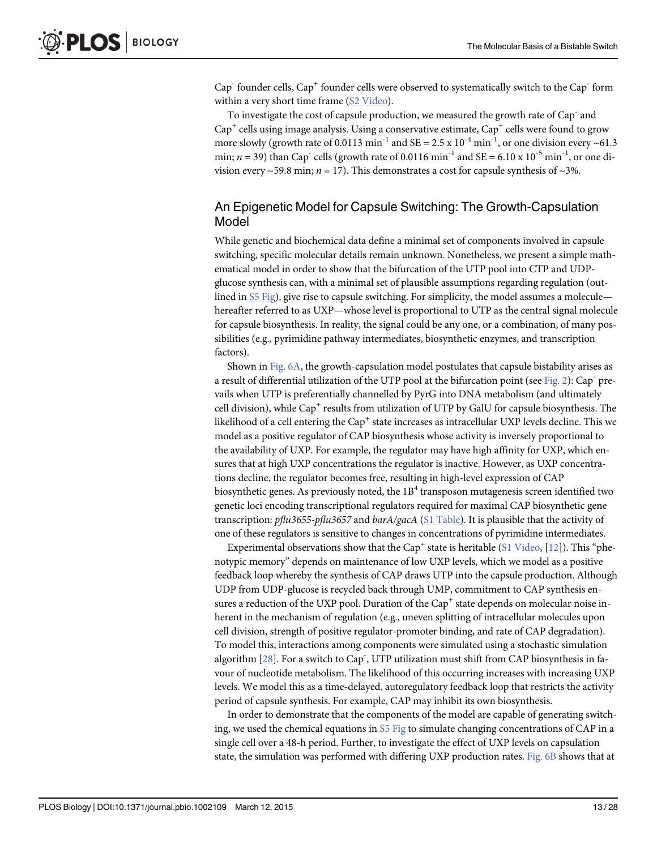<span id="page-12-0"></span>Cap<sup>-</sup> founder cells, Cap<sup>+</sup> founder cells were observed to systematically switch to the Cap<sup>-</sup> form within a very short time frame ([S2 Video](#page-24-0)).

To investigate the cost of capsule production, we measured the growth rate of Cap<sup>-</sup> and  $Cap<sup>+</sup>$  cells using image analysis. Using a conservative estimate,  $Cap<sup>+</sup>$  cells were found to grow more slowly (growth rate of 0.0113 min<sup>-1</sup> and SE = 2.5 x 10<sup>-4</sup> min<sup>-1</sup>, or one division every ~61.3 min;  $n = 39$ ) than Cap<sup>-</sup> cells (growth rate of 0.0116 min<sup>-1</sup> and SE = 6.10 x 10<sup>-5</sup> min<sup>-1</sup>, or one division every ~59.8 min;  $n = 17$ ). This demonstrates a cost for capsule synthesis of ~3%.

#### An Epigenetic Model for Capsule Switching: The Growth-Capsulation Model

While genetic and biochemical data define a minimal set of components involved in capsule switching, specific molecular details remain unknown. Nonetheless, we present a simple mathematical model in order to show that the bifurcation of the UTP pool into CTP and UDPglucose synthesis can, with a minimal set of plausible assumptions regarding regulation (outlined in [S5 Fig](#page-21-0)), give rise to capsule switching. For simplicity, the model assumes a molecule hereafter referred to as UXP—whose level is proportional to UTP as the central signal molecule for capsule biosynthesis. In reality, the signal could be any one, or a combination, of many possibilities (e.g., pyrimidine pathway intermediates, biosynthetic enzymes, and transcription factors).

Shown in [Fig. 6A](#page-13-0), the growth-capsulation model postulates that capsule bistability arises as a result of differential utilization of the UTP pool at the bifurcation point (see [Fig. 2\)](#page-4-0): Cap<sup>-</sup> prevails when UTP is preferentially channelled by PyrG into DNA metabolism (and ultimately cell division), while Cap<sup>+</sup> results from utilization of UTP by GalU for capsule biosynthesis. The likelihood of a cell entering the Cap<sup>+</sup> state increases as intracellular UXP levels decline. This we model as a positive regulator of CAP biosynthesis whose activity is inversely proportional to the availability of UXP. For example, the regulator may have high affinity for UXP, which ensures that at high UXP concentrations the regulator is inactive. However, as UXP concentrations decline, the regulator becomes free, resulting in high-level expression of CAP biosynthetic genes. As previously noted, the  $1B<sup>4</sup>$  transposon mutagenesis screen identified two genetic loci encoding transcriptional regulators required for maximal CAP biosynthetic gene transcription: pflu3655-pflu3657 and barA/gacA [\(S1 Table\)](#page-22-0). It is plausible that the activity of one of these regulators is sensitive to changes in concentrations of pyrimidine intermediates.

Experimental observations show that the Cap<sup>+</sup> state is heritable ( $S1$  Video, [\[12\]](#page-25-0)). This "phenotypic memory" depends on maintenance of low UXP levels, which we model as a positive feedback loop whereby the synthesis of CAP draws UTP into the capsule production. Although UDP from UDP-glucose is recycled back through UMP, commitment to CAP synthesis ensures a reduction of the UXP pool. Duration of the Cap<sup>+</sup> state depends on molecular noise inherent in the mechanism of regulation (e.g., uneven splitting of intracellular molecules upon cell division, strength of positive regulator-promoter binding, and rate of CAP degradation). To model this, interactions among components were simulated using a stochastic simulation algorithm [[28](#page-25-0)]. For a switch to Cap<sup>-</sup>, UTP utilization must shift from CAP biosynthesis in favour of nucleotide metabolism. The likelihood of this occurring increases with increasing UXP levels. We model this as a time-delayed, autoregulatory feedback loop that restricts the activity period of capsule synthesis. For example, CAP may inhibit its own biosynthesis.

In order to demonstrate that the components of the model are capable of generating switching, we used the chemical equations in [S5 Fig](#page-21-0) to simulate changing concentrations of CAP in a single cell over a 48-h period. Further, to investigate the effect of UXP levels on capsulation state, the simulation was performed with differing UXP production rates. [Fig. 6B](#page-13-0) shows that at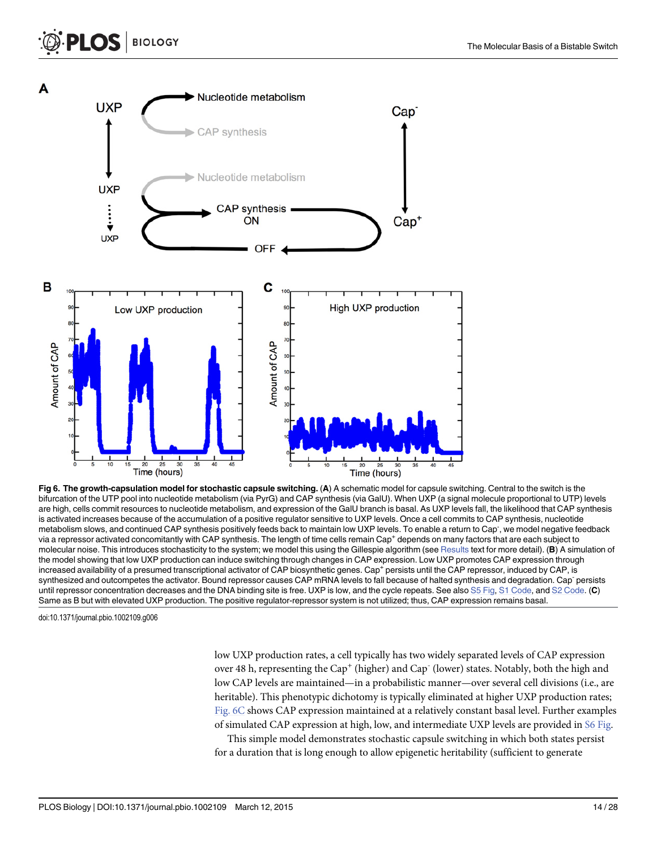<span id="page-13-0"></span>



[Fig 6. T](#page-12-0)he growth-capsulation model for stochastic capsule switching. (A) A schematic model for capsule switching. Central to the switch is the bifurcation of the UTP pool into nucleotide metabolism (via PyrG) and CAP synthesis (via GalU). When UXP (a signal molecule proportional to UTP) levels are high, cells commit resources to nucleotide metabolism, and expression of the GalU branch is basal. As UXP levels fall, the likelihood that CAP synthesis is activated increases because of the accumulation of a positive regulator sensitive to UXP levels. Once a cell commits to CAP synthesis, nucleotide metabolism slows, and continued CAP synthesis positively feeds back to maintain low UXP levels. To enable a return to Cap- , we model negative feedback via a repressor activated concomitantly with CAP synthesis. The length of time cells remain Cap<sup>+</sup> depends on many factors that are each subject to molecular noise. This introduces stochasticity to the system; we model this using the Gillespie algorithm (see [Results](#page-2-0) text for more detail). (B) A simulation of the model showing that low UXP production can induce switching through changes in CAP expression. Low UXP promotes CAP expression through increased availability of a presumed transcriptional activator of CAP biosynthetic genes. Cap<sup>+</sup> persists until the CAP repressor, induced by CAP, is synthesized and outcompetes the activator. Bound repressor causes CAP mRNA levels to fall because of halted synthesis and degradation. Cap<sup>-</sup> persists until repressor concentration decreases and the DNA binding site is free. UXP is low, and the cycle repeats. See also [S5 Fig](#page-21-0), [S1 Code](#page-19-0), and [S2 Code.](#page-20-0) (C) Same as B but with elevated UXP production. The positive regulator-repressor system is not utilized; thus, CAP expression remains basal.

doi:10.1371/journal.pbio.1002109.g006

low UXP production rates, a cell typically has two widely separated levels of CAP expression over 48 h, representing the Cap<sup>+</sup> (higher) and Cap<sup>-</sup> (lower) states. Notably, both the high and low CAP levels are maintained—in a probabilistic manner—over several cell divisions (i.e., are heritable). This phenotypic dichotomy is typically eliminated at higher UXP production rates; Fig. 6C shows CAP expression maintained at a relatively constant basal level. Further examples of simulated CAP expression at high, low, and intermediate UXP levels are provided in [S6 Fig](#page-21-0).

This simple model demonstrates stochastic capsule switching in which both states persist for a duration that is long enough to allow epigenetic heritability (sufficient to generate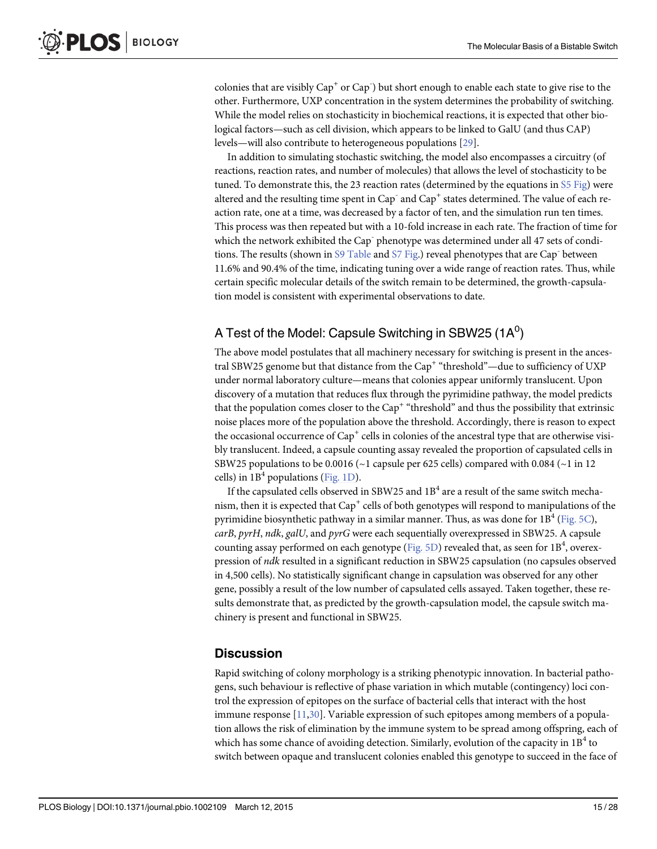<span id="page-14-0"></span>colonies that are visibly Cap<sup>+</sup> or Cap<sup>-</sup>) but short enough to enable each state to give rise to the other. Furthermore, UXP concentration in the system determines the probability of switching. While the model relies on stochasticity in biochemical reactions, it is expected that other biological factors—such as cell division, which appears to be linked to GalU (and thus CAP) levels—will also contribute to heterogeneous populations [\[29](#page-25-0)].

In addition to simulating stochastic switching, the model also encompasses a circuitry (of reactions, reaction rates, and number of molecules) that allows the level of stochasticity to be tuned. To demonstrate this, the 23 reaction rates (determined by the equations in [S5 Fig](#page-21-0)) were altered and the resulting time spent in Cap $\bar{\ }$  and Cap $^+$  states determined. The value of each reaction rate, one at a time, was decreased by a factor of ten, and the simulation run ten times. This process was then repeated but with a 10-fold increase in each rate. The fraction of time for which the network exhibited the Cap<sup>-</sup> phenotype was determined under all 47 sets of condi-tions. The results (shown in <u>[S9 Table](#page-24-0)</u> and <u>S7 Fi</u>g.) reveal phenotypes that are Cap<sup>-</sup> between 11.6% and 90.4% of the time, indicating tuning over a wide range of reaction rates. Thus, while certain specific molecular details of the switch remain to be determined, the growth-capsulation model is consistent with experimental observations to date.

#### A Test of the Model: Capsule Switching in SBW25 (1A $^{\rm 0)}$

The above model postulates that all machinery necessary for switching is present in the ancestral SBW25 genome but that distance from the Cap<sup>+ "t</sup>hreshold"—due to sufficiency of UXP under normal laboratory culture—means that colonies appear uniformly translucent. Upon discovery of a mutation that reduces flux through the pyrimidine pathway, the model predicts that the population comes closer to the  $Cap<sup>+</sup>$  "threshold" and thus the possibility that extrinsic noise places more of the population above the threshold. Accordingly, there is reason to expect the occasional occurrence of Cap<sup>+</sup> cells in colonies of the ancestral type that are otherwise visibly translucent. Indeed, a capsule counting assay revealed the proportion of capsulated cells in SBW25 populations to be 0.0016 ( $\sim$ 1 capsule per 625 cells) compared with 0.084 ( $\sim$ 1 in 12 cells) in  $1B<sup>4</sup>$  populations [\(Fig. 1D](#page-3-0)).

If the capsulated cells observed in SBW25 and  $1B<sup>4</sup>$  are a result of the same switch mechanism, then it is expected that Cap<sup>+</sup> cells of both genotypes will respond to manipulations of the pyrimidine biosynthetic pathway in a similar manner. Thus, as was done for  $1B<sup>4</sup>$  ([Fig. 5C\)](#page-9-0), carB, pyrH, ndk, galU, and pyrG were each sequentially overexpressed in SBW25. A capsule counting assay performed on each genotype ([Fig. 5D](#page-9-0)) revealed that, as seen for  $1B^4$ , overexpression of ndk resulted in a significant reduction in SBW25 capsulation (no capsules observed in 4,500 cells). No statistically significant change in capsulation was observed for any other gene, possibly a result of the low number of capsulated cells assayed. Taken together, these results demonstrate that, as predicted by the growth-capsulation model, the capsule switch machinery is present and functional in SBW25.

#### **Discussion**

Rapid switching of colony morphology is a striking phenotypic innovation. In bacterial pathogens, such behaviour is reflective of phase variation in which mutable (contingency) loci control the expression of epitopes on the surface of bacterial cells that interact with the host immune response [\[11,30\]](#page-25-0). Variable expression of such epitopes among members of a population allows the risk of elimination by the immune system to be spread among offspring, each of which has some chance of avoiding detection. Similarly, evolution of the capacity in  $1B<sup>4</sup>$  to switch between opaque and translucent colonies enabled this genotype to succeed in the face of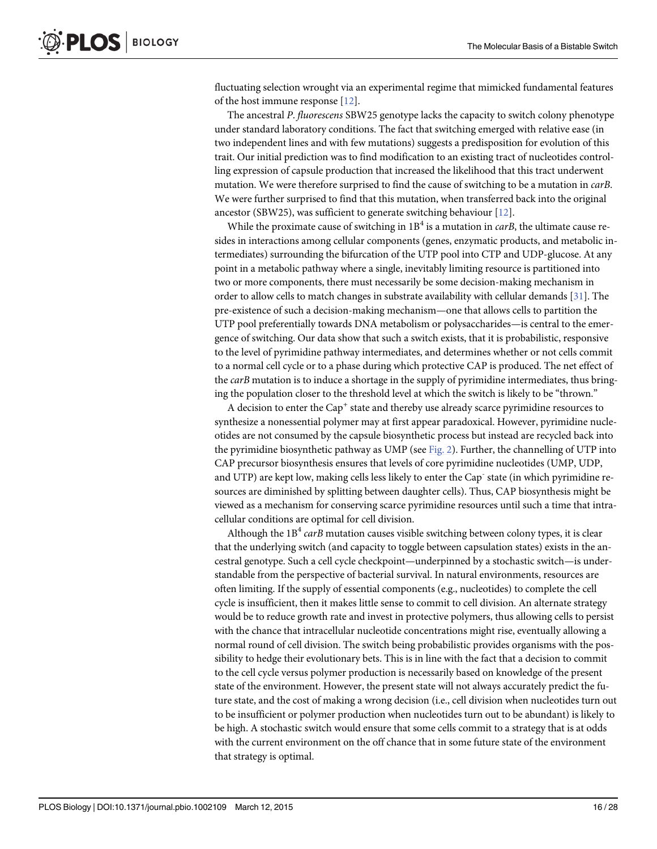<span id="page-15-0"></span>fluctuating selection wrought via an experimental regime that mimicked fundamental features of the host immune response [\[12](#page-25-0)].

The ancestral P. fluorescens SBW25 genotype lacks the capacity to switch colony phenotype under standard laboratory conditions. The fact that switching emerged with relative ease (in two independent lines and with few mutations) suggests a predisposition for evolution of this trait. Our initial prediction was to find modification to an existing tract of nucleotides controlling expression of capsule production that increased the likelihood that this tract underwent mutation. We were therefore surprised to find the cause of switching to be a mutation in *carB*. We were further surprised to find that this mutation, when transferred back into the original ancestor (SBW25), was sufficient to generate switching behaviour  $[12]$  $[12]$  $[12]$ .

While the proximate cause of switching in  $1B<sup>4</sup>$  is a mutation in *carB*, the ultimate cause resides in interactions among cellular components (genes, enzymatic products, and metabolic intermediates) surrounding the bifurcation of the UTP pool into CTP and UDP-glucose. At any point in a metabolic pathway where a single, inevitably limiting resource is partitioned into two or more components, there must necessarily be some decision-making mechanism in order to allow cells to match changes in substrate availability with cellular demands [[31](#page-25-0)]. The pre-existence of such a decision-making mechanism—one that allows cells to partition the UTP pool preferentially towards DNA metabolism or polysaccharides—is central to the emergence of switching. Our data show that such a switch exists, that it is probabilistic, responsive to the level of pyrimidine pathway intermediates, and determines whether or not cells commit to a normal cell cycle or to a phase during which protective CAP is produced. The net effect of the carB mutation is to induce a shortage in the supply of pyrimidine intermediates, thus bringing the population closer to the threshold level at which the switch is likely to be "thrown."

A decision to enter the  $Cap<sup>+</sup>$  state and thereby use already scarce pyrimidine resources to synthesize a nonessential polymer may at first appear paradoxical. However, pyrimidine nucleotides are not consumed by the capsule biosynthetic process but instead are recycled back into the pyrimidine biosynthetic pathway as UMP (see [Fig. 2](#page-4-0)). Further, the channelling of UTP into CAP precursor biosynthesis ensures that levels of core pyrimidine nucleotides (UMP, UDP, and UTP) are kept low, making cells less likely to enter the Cap<sup>-</sup> state (in which pyrimidine resources are diminished by splitting between daughter cells). Thus, CAP biosynthesis might be viewed as a mechanism for conserving scarce pyrimidine resources until such a time that intracellular conditions are optimal for cell division.

Although the  $1B<sup>4</sup>$  carB mutation causes visible switching between colony types, it is clear that the underlying switch (and capacity to toggle between capsulation states) exists in the ancestral genotype. Such a cell cycle checkpoint—underpinned by a stochastic switch—is understandable from the perspective of bacterial survival. In natural environments, resources are often limiting. If the supply of essential components (e.g., nucleotides) to complete the cell cycle is insufficient, then it makes little sense to commit to cell division. An alternate strategy would be to reduce growth rate and invest in protective polymers, thus allowing cells to persist with the chance that intracellular nucleotide concentrations might rise, eventually allowing a normal round of cell division. The switch being probabilistic provides organisms with the possibility to hedge their evolutionary bets. This is in line with the fact that a decision to commit to the cell cycle versus polymer production is necessarily based on knowledge of the present state of the environment. However, the present state will not always accurately predict the future state, and the cost of making a wrong decision (i.e., cell division when nucleotides turn out to be insufficient or polymer production when nucleotides turn out to be abundant) is likely to be high. A stochastic switch would ensure that some cells commit to a strategy that is at odds with the current environment on the off chance that in some future state of the environment that strategy is optimal.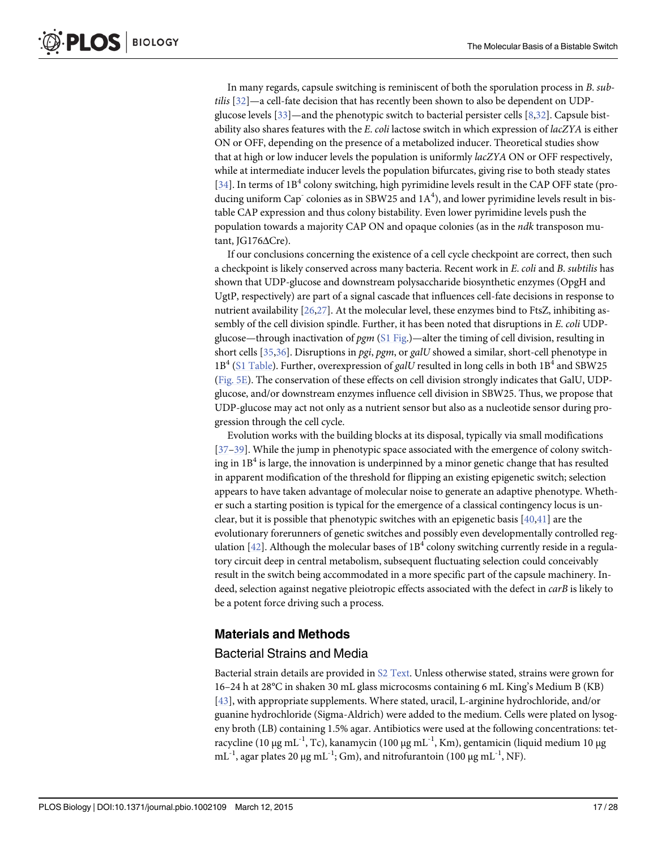<span id="page-16-0"></span>In many regards, capsule switching is reminiscent of both the sporulation process in B. subtilis  $[32]$  $[32]$  $[32]$ —a cell-fate decision that has recently been shown to also be dependent on UDPglucose levels  $[33]$  $[33]$  $[33]$ —and the phenotypic switch to bacterial persister cells  $[8,32]$  $[8,32]$ . Capsule bistability also shares features with the E. coli lactose switch in which expression of lacZYA is either ON or OFF, depending on the presence of a metabolized inducer. Theoretical studies show that at high or low inducer levels the population is uniformly lacZYA ON or OFF respectively, while at intermediate inducer levels the population bifurcates, giving rise to both steady states [\[34](#page-26-0)]. In terms of  $1B<sup>4</sup>$  colony switching, high pyrimidine levels result in the CAP OFF state (producing uniform Cap $\bar{\ }$  colonies as in SBW25 and  $1\rm{A}^4$ ), and lower pyrimidine levels result in bistable CAP expression and thus colony bistability. Even lower pyrimidine levels push the population towards a majority CAP ON and opaque colonies (as in the ndk transposon mutant, JG176ΔCre).

If our conclusions concerning the existence of a cell cycle checkpoint are correct, then such a checkpoint is likely conserved across many bacteria. Recent work in E. coli and B. subtilis has shown that UDP-glucose and downstream polysaccharide biosynthetic enzymes (OpgH and UgtP, respectively) are part of a signal cascade that influences cell-fate decisions in response to nutrient availability [[26,27\]](#page-25-0). At the molecular level, these enzymes bind to FtsZ, inhibiting assembly of the cell division spindle. Further, it has been noted that disruptions in E. coli UDP-glucose—through inactivation of pgm ([S1 Fig.](#page-20-0))—alter the timing of cell division, resulting in short cells [\[35,36\]](#page-26-0). Disruptions in pgi, pgm, or galU showed a similar, short-cell phenotype in  $1B<sup>4</sup>$  ([S1 Table\)](#page-22-0). Further, overexpression of galU resulted in long cells in both  $1B<sup>4</sup>$  and SBW25 [\(Fig. 5E\)](#page-9-0). The conservation of these effects on cell division strongly indicates that GalU, UDPglucose, and/or downstream enzymes influence cell division in SBW25. Thus, we propose that UDP-glucose may act not only as a nutrient sensor but also as a nucleotide sensor during progression through the cell cycle.

Evolution works with the building blocks at its disposal, typically via small modifications [\[37](#page-26-0)–[39\]](#page-26-0). While the jump in phenotypic space associated with the emergence of colony switching in  $1B<sup>4</sup>$  is large, the innovation is underpinned by a minor genetic change that has resulted in apparent modification of the threshold for flipping an existing epigenetic switch; selection appears to have taken advantage of molecular noise to generate an adaptive phenotype. Whether such a starting position is typical for the emergence of a classical contingency locus is unclear, but it is possible that phenotypic switches with an epigenetic basis  $[40,41]$  $[40,41]$  $[40,41]$  are the evolutionary forerunners of genetic switches and possibly even developmentally controlled regulation  $[42]$  $[42]$  $[42]$ . Although the molecular bases of  $1B<sup>4</sup>$  colony switching currently reside in a regulatory circuit deep in central metabolism, subsequent fluctuating selection could conceivably result in the switch being accommodated in a more specific part of the capsule machinery. Indeed, selection against negative pleiotropic effects associated with the defect in *carB* is likely to be a potent force driving such a process.

#### Materials and Methods

#### Bacterial Strains and Media

Bacterial strain details are provided in [S2 Text.](#page-24-0) Unless otherwise stated, strains were grown for 16–24 h at 28°C in shaken 30 mL glass microcosms containing 6 mL King's Medium B (KB) [\[43](#page-26-0)], with appropriate supplements. Where stated, uracil, L-arginine hydrochloride, and/or guanine hydrochloride (Sigma-Aldrich) were added to the medium. Cells were plated on lysogeny broth (LB) containing 1.5% agar. Antibiotics were used at the following concentrations: tetracycline (10 μg mL<sup>-1</sup>, Tc), kanamycin (100 μg mL<sup>-1</sup>, Km), gentamicin (liquid medium 10 μg  $mL^{-1}$ , agar plates 20 μg mL<sup>-1</sup>; Gm), and nitrofurantoin (100 μg mL<sup>-1</sup>, NF).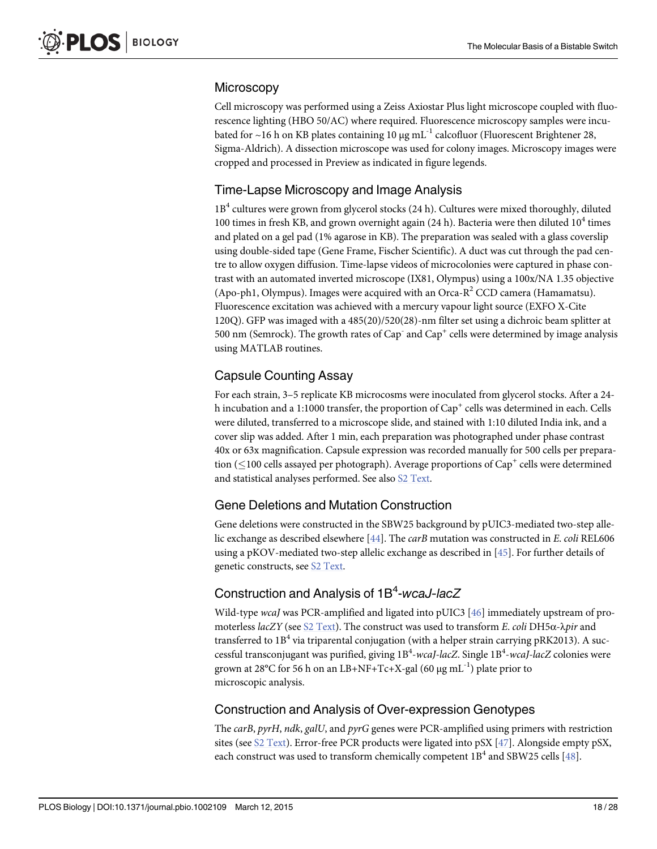#### <span id="page-17-0"></span>**Microscopy**

Cell microscopy was performed using a Zeiss Axiostar Plus light microscope coupled with fluorescence lighting (HBO 50/AC) where required. Fluorescence microscopy samples were incubated for ~16 h on KB plates containing 10  $\mu$ g mL<sup>-1</sup> calcofluor (Fluorescent Brightener 28, Sigma-Aldrich). A dissection microscope was used for colony images. Microscopy images were cropped and processed in Preview as indicated in figure legends.

#### Time-Lapse Microscopy and Image Analysis

 $1B<sup>4</sup>$  cultures were grown from glycerol stocks (24 h). Cultures were mixed thoroughly, diluted 100 times in fresh KB, and grown overnight again  $(24 h)$ . Bacteria were then diluted  $10<sup>4</sup>$  times and plated on a gel pad (1% agarose in KB). The preparation was sealed with a glass coverslip using double-sided tape (Gene Frame, Fischer Scientific). A duct was cut through the pad centre to allow oxygen diffusion. Time-lapse videos of microcolonies were captured in phase contrast with an automated inverted microscope (IX81, Olympus) using a 100x/NA 1.35 objective (Apo-ph1, Olympus). Images were acquired with an Orca- $R^2$  CCD camera (Hamamatsu). Fluorescence excitation was achieved with a mercury vapour light source (EXFO X-Cite 120Q). GFP was imaged with a 485(20)/520(28)-nm filter set using a dichroic beam splitter at 500 nm (Semrock). The growth rates of Cap<sup>-</sup> and Cap<sup>+</sup> cells were determined by image analysis using MATLAB routines.

#### Capsule Counting Assay

For each strain, 3–5 replicate KB microcosms were inoculated from glycerol stocks. After a 24 h incubation and a 1:1000 transfer, the proportion of  $Cap<sup>+</sup>$  cells was determined in each. Cells were diluted, transferred to a microscope slide, and stained with 1:10 diluted India ink, and a cover slip was added. After 1 min, each preparation was photographed under phase contrast 40x or 63x magnification. Capsule expression was recorded manually for 500 cells per preparation ( $\leq$ 100 cells assayed per photograph). Average proportions of Cap<sup>+</sup> cells were determined and statistical analyses performed. See also [S2 Text.](#page-24-0)

#### Gene Deletions and Mutation Construction

Gene deletions were constructed in the SBW25 background by pUIC3-mediated two-step alle-lic exchange as described elsewhere [\[44\]](#page-26-0). The *carB* mutation was constructed in E. *coli* REL606 using a pKOV-mediated two-step allelic exchange as described in [[45](#page-26-0)]. For further details of genetic constructs, see [S2 Text.](#page-24-0)

#### Construction and Analysis of 1B<sup>4</sup>-wcaJ-lacZ

Wild-type wcaJ was PCR-amplified and ligated into pUIC3 [\[46\]](#page-26-0) immediately upstream of pro-moterless lacZY (see [S2 Text\)](#page-24-0). The construct was used to transform E. coli DH5 $\alpha$ - $\lambda$ pir and transferred to  $1B<sup>4</sup>$  via triparental conjugation (with a helper strain carrying pRK2013). A successful transconjugant was purified, giving 1B<sup>4</sup>-wcaJ-lacZ. Single 1B<sup>4</sup>-wcaJ-lacZ colonies were grown at 28°C for 56 h on an LB+NF+Tc+X-gal (60  $\mu$ g mL<sup>-1</sup>) plate prior to microscopic analysis.

#### Construction and Analysis of Over-expression Genotypes

The carB, pyrH, ndk, galU, and pyrG genes were PCR-amplified using primers with restriction sites (see S<sub>2</sub> Text). Error-free PCR products were ligated into pSX [[47](#page-26-0)]. Alongside empty pSX, each construct was used to transform chemically competent  $1B<sup>4</sup>$  and SBW25 cells [\[48\]](#page-26-0).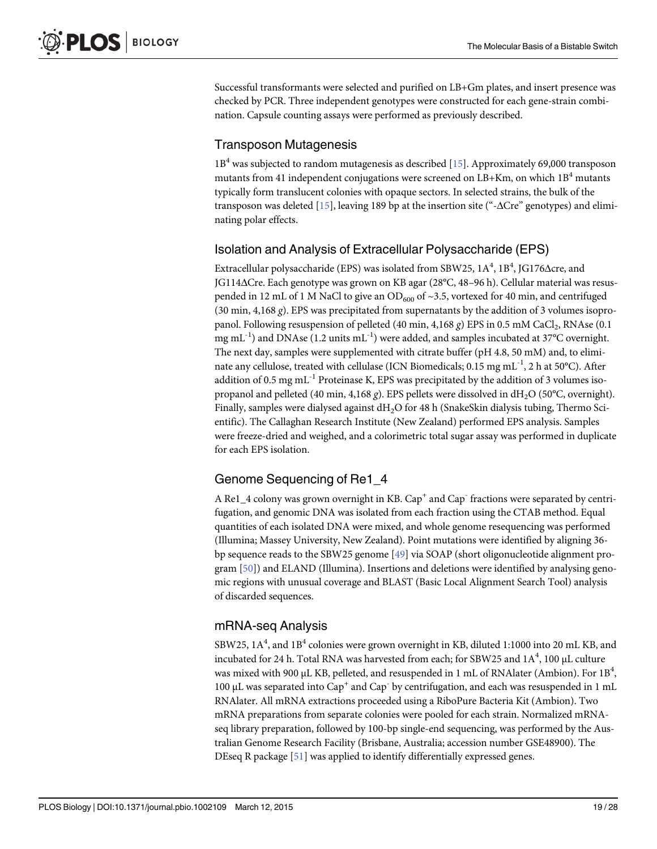<span id="page-18-0"></span>Successful transformants were selected and purified on LB+Gm plates, and insert presence was checked by PCR. Three independent genotypes were constructed for each gene-strain combination. Capsule counting assays were performed as previously described.

#### Transposon Mutagenesis

 $1B<sup>4</sup>$  was subjected to random mutagenesis as described [[15](#page-25-0)]. Approximately 69,000 transposon mutants from 41 independent conjugations were screened on  $LB+Km$ , on which  $1B<sup>4</sup>$  mutants typically form translucent colonies with opaque sectors. In selected strains, the bulk of the transposon was deleted [[15](#page-25-0)], leaving 189 bp at the insertion site ("-ΔCre" genotypes) and eliminating polar effects.

#### Isolation and Analysis of Extracellular Polysaccharide (EPS)

Extracellular polysaccharide (EPS) was isolated from SBW25,  $1\mathrm{A}^4$ ,  $1\mathrm{B}^4$ , JG176 $\Delta$ cre, and JG114ΔCre. Each genotype was grown on KB agar (28°C, 48–96 h). Cellular material was resuspended in 12 mL of 1 M NaCl to give an  $OD_{600}$  of  $\sim$ 3.5, vortexed for 40 min, and centrifuged  $(30 \text{ min}, 4,168 \text{ g})$ . EPS was precipitated from supernatants by the addition of 3 volumes isopropanol. Following resuspension of pelleted (40 min, 4,168 g) EPS in 0.5 mM CaCl<sub>2</sub>, RNAse (0.1 mg  $\text{mL}^{-1}$ ) and DNAse (1.2 units  $\text{mL}^{-1}$ ) were added, and samples incubated at 37°C overnight. The next day, samples were supplemented with citrate buffer (pH 4.8, 50 mM) and, to eliminate any cellulose, treated with cellulase (ICN Biomedicals; 0.15 mg mL<sup>-1</sup>, 2 h at 50°C). After addition of 0.5 mg  $mL^{-1}$  Proteinase K, EPS was precipitated by the addition of 3 volumes isopropanol and pelleted (40 min, 4,168 g). EPS pellets were dissolved in  $dH_2O$  (50°C, overnight). Finally, samples were dialysed against dH<sub>2</sub>O for 48 h (SnakeSkin dialysis tubing, Thermo Scientific). The Callaghan Research Institute (New Zealand) performed EPS analysis. Samples were freeze-dried and weighed, and a colorimetric total sugar assay was performed in duplicate for each EPS isolation.

#### Genome Sequencing of Re1\_4

A Re1\_4 colony was grown overnight in KB. Cap<sup>+</sup> and Cap<sup>-</sup> fractions were separated by centrifugation, and genomic DNA was isolated from each fraction using the CTAB method. Equal quantities of each isolated DNA were mixed, and whole genome resequencing was performed (Illumina; Massey University, New Zealand). Point mutations were identified by aligning 36 bp sequence reads to the SBW25 genome [\[49\]](#page-26-0) via SOAP (short oligonucleotide alignment program [\[50\]](#page-26-0)) and ELAND (Illumina). Insertions and deletions were identified by analysing genomic regions with unusual coverage and BLAST (Basic Local Alignment Search Tool) analysis of discarded sequences.

#### mRNA-seq Analysis

SBW25,  $1\text{A}^4$ , and  $1\text{B}^4$  colonies were grown overnight in KB, diluted 1:1000 into 20 mL KB, and incubated for 24 h. Total RNA was harvested from each; for SBW25 and  $1\text{A}^4$ , 100  $\mu$ L culture was mixed with 900 µL KB, pelleted, and resuspended in 1 mL of RNAlater (Ambion). For 1B<sup>4</sup>, 100 μL was separated into Cap<sup>+</sup> and Cap<sup>-</sup> by centrifugation, and each was resuspended in 1 mL RNAlater. All mRNA extractions proceeded using a RiboPure Bacteria Kit (Ambion). Two mRNA preparations from separate colonies were pooled for each strain. Normalized mRNAseq library preparation, followed by 100-bp single-end sequencing, was performed by the Australian Genome Research Facility (Brisbane, Australia; accession number GSE48900). The DEseq R package [[51](#page-26-0)] was applied to identify differentially expressed genes.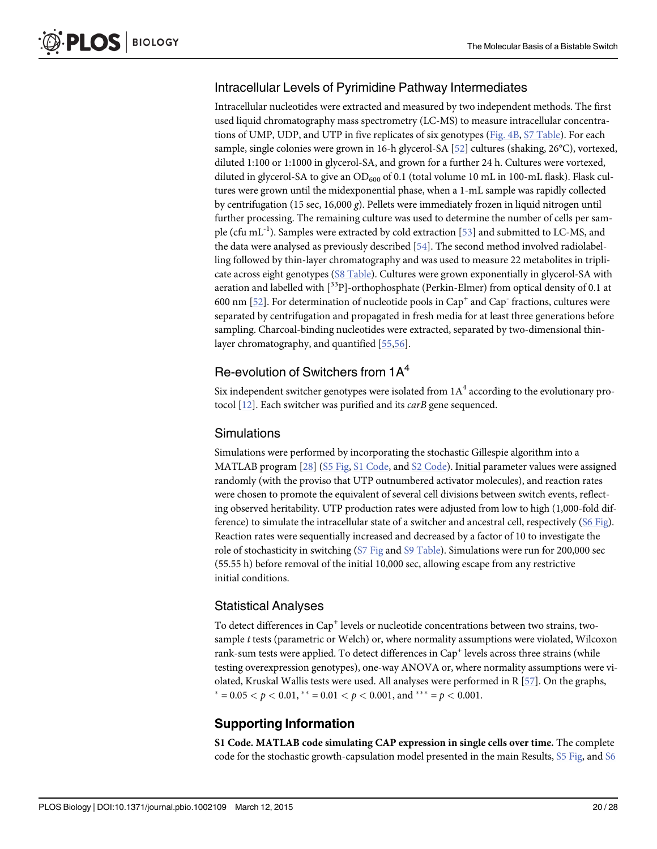#### <span id="page-19-0"></span>Intracellular Levels of Pyrimidine Pathway Intermediates

Intracellular nucleotides were extracted and measured by two independent methods. The first used liquid chromatography mass spectrometry (LC-MS) to measure intracellular concentra-tions of UMP, UDP, and UTP in five replicates of six genotypes [\(Fig. 4B,](#page-7-0) [S7 Table](#page-23-0)). For each sample, single colonies were grown in 16-h glycerol-SA [[52](#page-26-0)] cultures (shaking, 26°C), vortexed, diluted 1:100 or 1:1000 in glycerol-SA, and grown for a further 24 h. Cultures were vortexed, diluted in glycerol-SA to give an OD<sub>600</sub> of 0.1 (total volume 10 mL in 100-mL flask). Flask cultures were grown until the midexponential phase, when a 1-mL sample was rapidly collected by centrifugation (15 sec, 16,000 g). Pellets were immediately frozen in liquid nitrogen until further processing. The remaining culture was used to determine the number of cells per sam-ple (cfu mL<sup>-1</sup>). Samples were extracted by cold extraction [[53](#page-26-0)] and submitted to LC-MS, and the data were analysed as previously described [\[54](#page-26-0)]. The second method involved radiolabelling followed by thin-layer chromatography and was used to measure 22 metabolites in triplicate across eight genotypes [\(S8 Table\)](#page-23-0). Cultures were grown exponentially in glycerol-SA with aeration and labelled with  $\binom{33P}{ }$ -orthophosphate (Perkin-Elmer) from optical density of 0.1 at 600 nm  $[52]$  $[52]$  $[52]$ . For determination of nucleotide pools in Cap<sup>+</sup> and Cap<sup>-</sup> fractions, cultures were separated by centrifugation and propagated in fresh media for at least three generations before sampling. Charcoal-binding nucleotides were extracted, separated by two-dimensional thinlayer chromatography, and quantified [[55](#page-26-0),[56](#page-26-0)].

#### Re-evolution of Switchers from 1A4

Six independent switcher genotypes were isolated from  $1A<sup>4</sup>$  according to the evolutionary protocol [\[12\]](#page-25-0). Each switcher was purified and its carB gene sequenced.

#### Simulations

Simulations were performed by incorporating the stochastic Gillespie algorithm into a MATLAB program [\[28\]](#page-25-0) [\(S5 Fig](#page-21-0), S1 Code, and [S2 Code](#page-20-0)). Initial parameter values were assigned randomly (with the proviso that UTP outnumbered activator molecules), and reaction rates were chosen to promote the equivalent of several cell divisions between switch events, reflecting observed heritability. UTP production rates were adjusted from low to high (1,000-fold difference) to simulate the intracellular state of a switcher and ancestral cell, respectively ([S6 Fig\)](#page-21-0). Reaction rates were sequentially increased and decreased by a factor of 10 to investigate the role of stochasticity in switching [\(S7 Fig](#page-22-0) and [S9 Table\)](#page-24-0). Simulations were run for 200,000 sec (55.55 h) before removal of the initial 10,000 sec, allowing escape from any restrictive initial conditions.

#### Statistical Analyses

To detect differences in Cap<sup>+</sup> levels or nucleotide concentrations between two strains, twosample t tests (parametric or Welch) or, where normality assumptions were violated, Wilcoxon rank-sum tests were applied. To detect differences in Cap<sup>+</sup> levels across three strains (while testing overexpression genotypes), one-way ANOVA or, where normality assumptions were violated, Kruskal Wallis tests were used. All analyses were performed in R [\[57\]](#page-26-0). On the graphs,  $^*$  = 0.05 <  $p$  < 0.01,  $^{**}$  = 0.01 <  $p$  < 0.001, and  $^{***}$  =  $p$  < 0.001.

#### Supporting Information

[S1 Code.](http://www.plosone.org/article/fetchSingleRepresentation.action?uri=info:doi/10.1371/journal.pbio.1002109.s001) MATLAB code simulating CAP expression in single cells over time. The complete code for the stochastic growth-capsulation model presented in the main Results,  $S5$  Fig, and  $S6$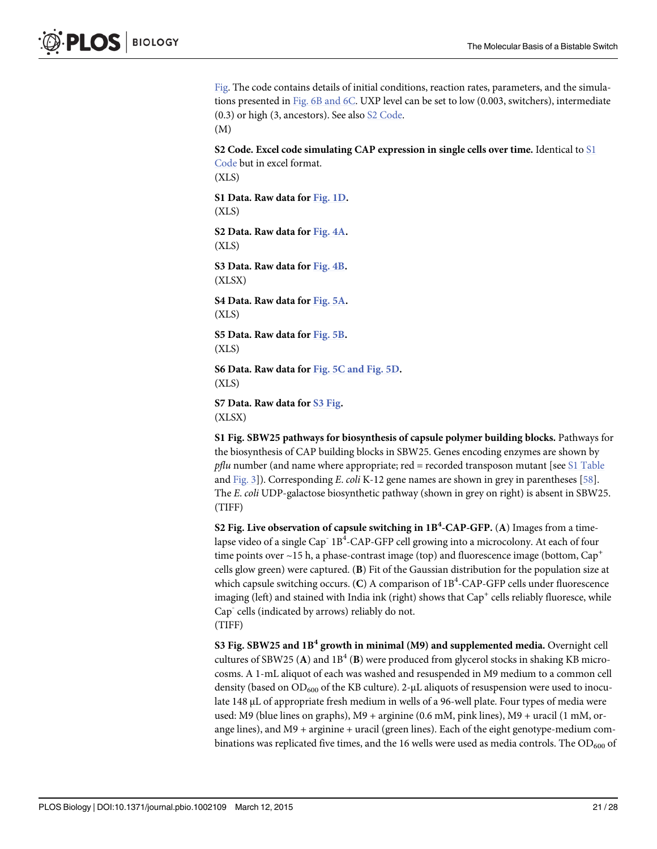<span id="page-20-0"></span>[Fig](#page-21-0). The code contains details of initial conditions, reaction rates, parameters, and the simula-tions presented in [Fig. 6B and 6C](#page-13-0). UXP level can be set to low  $(0.003,$  switchers), intermediate (0.3) or high (3, ancestors). See also S2 Code.

(M)

[S2 Code.](http://www.plosone.org/article/fetchSingleRepresentation.action?uri=info:doi/10.1371/journal.pbio.1002109.s002) Excel code simulating CAP expression in single cells over time. Identical to [S1](#page-19-0) [Code](#page-19-0) but in excel format.

(XLS)

[S1 Data](http://www.plosone.org/article/fetchSingleRepresentation.action?uri=info:doi/10.1371/journal.pbio.1002109.s003). Raw data for [Fig. 1D.](#page-3-0) (XLS)

[S2 Data](http://www.plosone.org/article/fetchSingleRepresentation.action?uri=info:doi/10.1371/journal.pbio.1002109.s004). Raw data for [Fig. 4A.](#page-7-0) (XLS)

[S3 Data](http://www.plosone.org/article/fetchSingleRepresentation.action?uri=info:doi/10.1371/journal.pbio.1002109.s005). Raw data for [Fig. 4B](#page-7-0). (XLSX)

[S4 Data](http://www.plosone.org/article/fetchSingleRepresentation.action?uri=info:doi/10.1371/journal.pbio.1002109.s006). Raw data for [Fig. 5A.](#page-9-0) (XLS)

[S5 Data](http://www.plosone.org/article/fetchSingleRepresentation.action?uri=info:doi/10.1371/journal.pbio.1002109.s007). Raw data for [Fig. 5B](#page-9-0). (XLS)

[S6 Data](http://www.plosone.org/article/fetchSingleRepresentation.action?uri=info:doi/10.1371/journal.pbio.1002109.s008). Raw data for [Fig. 5C and Fig. 5D](#page-9-0). (XLS)

[S7 Data](http://www.plosone.org/article/fetchSingleRepresentation.action?uri=info:doi/10.1371/journal.pbio.1002109.s009). Raw data for S3 Fig. (XLSX)

[S1 Fig.](http://www.plosone.org/article/fetchSingleRepresentation.action?uri=info:doi/10.1371/journal.pbio.1002109.s010) SBW25 pathways for biosynthesis of capsule polymer building blocks. Pathways for the biosynthesis of CAP building blocks in SBW25. Genes encoding enzymes are shown by *pflu* number (and name where appropriate; red = recorded transposon mutant [see [S1 Table](#page-22-0) and [Fig. 3\]](#page-5-0)). Corresponding E. coli K-12 gene names are shown in grey in parentheses [[58](#page-27-0)]. The E. coli UDP-galactose biosynthetic pathway (shown in grey on right) is absent in SBW25. (TIFF)

[S2 Fig.](http://www.plosone.org/article/fetchSingleRepresentation.action?uri=info:doi/10.1371/journal.pbio.1002109.s011) Live observation of capsule switching in  $1\text{B}^4\text{-}\text{CAP-GFP.}$  (A) Images from a timelapse video of a single Cap $\bar{\ }$  1B<sup>4</sup>-CAP-GFP cell growing into a microcolony. At each of four time points over  $\sim$  15 h, a phase-contrast image (top) and fluorescence image (bottom, Cap<sup>+</sup> cells glow green) were captured. (B) Fit of the Gaussian distribution for the population size at which capsule switching occurs. (C) A comparison of  $1\text{B}^4\text{-}\text{CAP-GFP}$  cells under fluorescence imaging (left) and stained with India ink (right) shows that  $Cap<sup>+</sup>$  cells reliably fluoresce, while Cap<sup>-</sup> cells (indicated by arrows) reliably do not. (TIFF)

[S3 Fig.](http://www.plosone.org/article/fetchSingleRepresentation.action?uri=info:doi/10.1371/journal.pbio.1002109.s012) SBW25 and  $1B<sup>4</sup>$  growth in minimal (M9) and supplemented media. Overnight cell cultures of SBW25 (A) and  $1B<sup>4</sup>$  (B) were produced from glycerol stocks in shaking KB microcosms. A 1-mL aliquot of each was washed and resuspended in M9 medium to a common cell density (based on  $OD_{600}$  of the KB culture). 2-µL aliquots of resuspension were used to inoculate 148 μL of appropriate fresh medium in wells of a 96-well plate. Four types of media were used: M9 (blue lines on graphs),  $M9$  + arginine (0.6 mM, pink lines),  $M9$  + uracil (1 mM, orange lines), and M9 + arginine + uracil (green lines). Each of the eight genotype-medium combinations was replicated five times, and the 16 wells were used as media controls. The  $OD_{600}$  of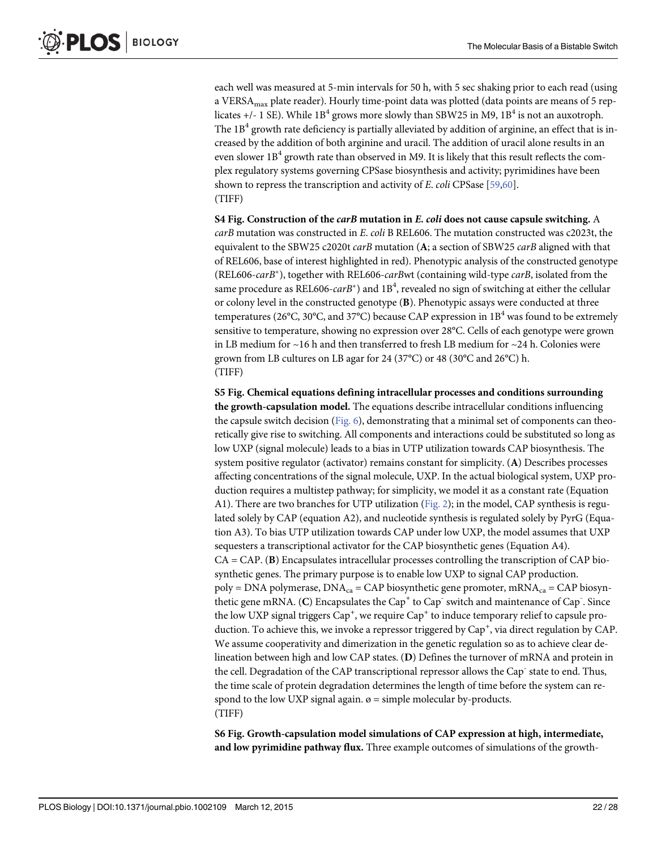<span id="page-21-0"></span>each well was measured at 5-min intervals for 50 h, with 5 sec shaking prior to each read (using a VERSA<sub>max</sub> plate reader). Hourly time-point data was plotted (data points are means of 5 replicates  $+/-1$  SE). While  $1B<sup>4</sup>$  grows more slowly than SBW25 in M9,  $1B<sup>4</sup>$  is not an auxotroph. The  $1B<sup>4</sup>$  growth rate deficiency is partially alleviated by addition of arginine, an effect that is increased by the addition of both arginine and uracil. The addition of uracil alone results in an even slower  $1B<sup>4</sup>$  growth rate than observed in M9. It is likely that this result reflects the complex regulatory systems governing CPSase biosynthesis and activity; pyrimidines have been shown to repress the transcription and activity of E. coli CPSase [[59,60\]](#page-27-0). (TIFF)

[S4 Fig.](http://www.plosone.org/article/fetchSingleRepresentation.action?uri=info:doi/10.1371/journal.pbio.1002109.s013) Construction of the *carB* mutation in E. *coli* does not cause capsule switching. A carB mutation was constructed in E. coli B REL606. The mutation constructed was c2023t, the equivalent to the SBW25 c2020t carB mutation  $(A; a \text{ section of SBW25 } \textit{carB}$  aligned with that of REL606, base of interest highlighted in red). Phenotypic analysis of the constructed genotype (REL606-carB<sup>\*</sup>), together with REL606-carBwt (containing wild-type carB, isolated from the same procedure as REL606- $carB^*$ ) and 1B $^4$ , revealed no sign of switching at either the cellular or colony level in the constructed genotype (B). Phenotypic assays were conducted at three temperatures (26 $\degree$ C, 30 $\degree$ C, and 37 $\degree$ C) because CAP expression in 1B<sup>4</sup> was found to be extremely sensitive to temperature, showing no expression over 28°C. Cells of each genotype were grown in LB medium for  $\sim$ 16 h and then transferred to fresh LB medium for  $\sim$ 24 h. Colonies were grown from LB cultures on LB agar for 24 (37°C) or 48 (30°C and 26°C) h. (TIFF)

[S5 Fig.](http://www.plosone.org/article/fetchSingleRepresentation.action?uri=info:doi/10.1371/journal.pbio.1002109.s014) Chemical equations defining intracellular processes and conditions surrounding the growth-capsulation model. The equations describe intracellular conditions influencing the capsule switch decision  $(Fig. 6)$  $(Fig. 6)$ , demonstrating that a minimal set of components can theoretically give rise to switching. All components and interactions could be substituted so long as low UXP (signal molecule) leads to a bias in UTP utilization towards CAP biosynthesis. The system positive regulator (activator) remains constant for simplicity. (A) Describes processes affecting concentrations of the signal molecule, UXP. In the actual biological system, UXP production requires a multistep pathway; for simplicity, we model it as a constant rate (Equation A1). There are two branches for UTP utilization ( $Fig. 2$ ); in the model, CAP synthesis is regulated solely by CAP (equation A2), and nucleotide synthesis is regulated solely by PyrG (Equation A3). To bias UTP utilization towards CAP under low UXP, the model assumes that UXP sequesters a transcriptional activator for the CAP biosynthetic genes (Equation A4).  $CA = CAP$ .  $(B)$  Encapsulates intracellular processes controlling the transcription of CAP biosynthetic genes. The primary purpose is to enable low UXP to signal CAP production. poly = DNA polymerase,  $DNA_{ca} = CAP$  biosynthetic gene promoter, mRNA<sub>ca</sub> = CAP biosynthetic gene mRNA. (C) Encapsulates the Cap<sup>+</sup> to Cap<sup>-</sup> switch and maintenance of Cap<sup>-</sup>. Since the low UXP signal triggers Cap<sup>+</sup>, we require  $\mathrm{Cap}^+$  to induce temporary relief to capsule production. To achieve this, we invoke a repressor triggered by  $Cap^+$ , via direct regulation by CAP. We assume cooperativity and dimerization in the genetic regulation so as to achieve clear delineation between high and low CAP states. (D) Defines the turnover of mRNA and protein in the cell. Degradation of the CAP transcriptional repressor allows the Cap<sup>-</sup> state to end. Thus, the time scale of protein degradation determines the length of time before the system can respond to the low UXP signal again.  $\varphi$  = simple molecular by-products. (TIFF)

[S6 Fig.](http://www.plosone.org/article/fetchSingleRepresentation.action?uri=info:doi/10.1371/journal.pbio.1002109.s015) Growth-capsulation model simulations of CAP expression at high, intermediate, and low pyrimidine pathway flux. Three example outcomes of simulations of the growth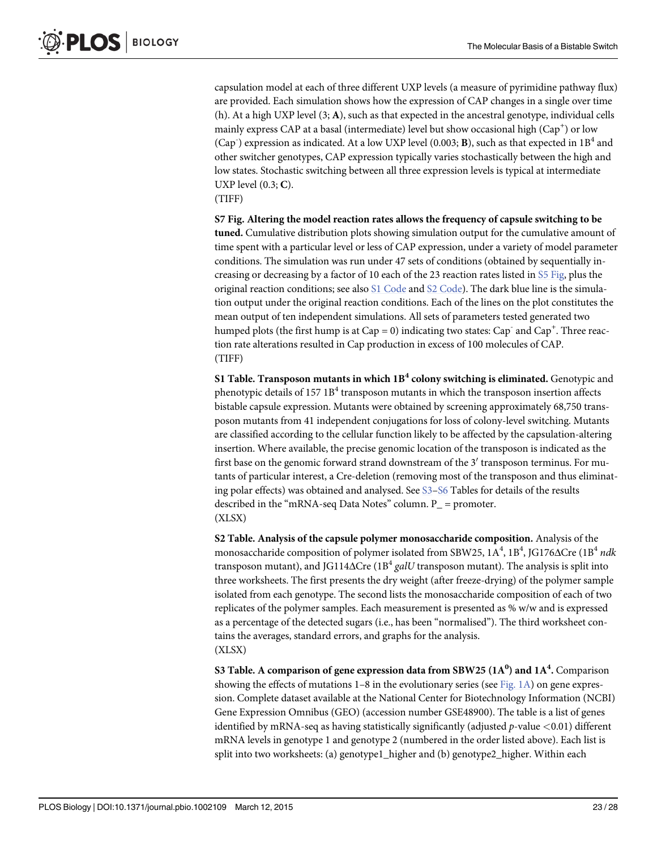<span id="page-22-0"></span>capsulation model at each of three different UXP levels (a measure of pyrimidine pathway flux) are provided. Each simulation shows how the expression of CAP changes in a single over time (h). At a high UXP level  $(3; A)$ , such as that expected in the ancestral genotype, individual cells mainly express CAP at a basal (intermediate) level but show occasional high (Cap<sup>+</sup>) or low (Cap<sup>-</sup>) expression as indicated. At a low UXP level (0.003; **B**), such as that expected in  $1B^4$  and other switcher genotypes, CAP expression typically varies stochastically between the high and low states. Stochastic switching between all three expression levels is typical at intermediate UXP level (0.3; C).

(TIFF)

[S7 Fig.](http://www.plosone.org/article/fetchSingleRepresentation.action?uri=info:doi/10.1371/journal.pbio.1002109.s016) Altering the model reaction rates allows the frequency of capsule switching to be tuned. Cumulative distribution plots showing simulation output for the cumulative amount of time spent with a particular level or less of CAP expression, under a variety of model parameter conditions. The simulation was run under 47 sets of conditions (obtained by sequentially increasing or decreasing by a factor of 10 each of the 23 reaction rates listed in [S5 Fig,](#page-21-0) plus the original reaction conditions; see also  $\S1$  Code and  $\S2$  Code). The dark blue line is the simulation output under the original reaction conditions. Each of the lines on the plot constitutes the mean output of ten independent simulations. All sets of parameters tested generated two humped plots (the first hump is at Cap = 0) indicating two states: Cap<sup>-</sup> and Cap<sup>+</sup>. Three reaction rate alterations resulted in Cap production in excess of 100 molecules of CAP. (TIFF)

[S1 Table](http://www.plosone.org/article/fetchSingleRepresentation.action?uri=info:doi/10.1371/journal.pbio.1002109.s017). Transposon mutants in which  $1B<sup>4</sup>$  colony switching is eliminated. Genotypic and phenotypic details of  $157 \text{ } 1B^4$  transposon mutants in which the transposon insertion affects bistable capsule expression. Mutants were obtained by screening approximately 68,750 transposon mutants from 41 independent conjugations for loss of colony-level switching. Mutants are classified according to the cellular function likely to be affected by the capsulation-altering insertion. Where available, the precise genomic location of the transposon is indicated as the first base on the genomic forward strand downstream of the  $3'$  transposon terminus. For mutants of particular interest, a Cre-deletion (removing most of the transposon and thus eliminating polar effects) was obtained and analysed. See S3–[S6](#page-23-0) Tables for details of the results described in the "mRNA-seq Data Notes" column. P\_ = promoter. (XLSX)

[S2 Table](http://www.plosone.org/article/fetchSingleRepresentation.action?uri=info:doi/10.1371/journal.pbio.1002109.s018). Analysis of the capsule polymer monosaccharide composition. Analysis of the monosaccharide composition of polymer isolated from SBW25, 1A<sup>4</sup>, 1B<sup>4</sup>, JG176∆Cre (1B<sup>4</sup> ndk transposon mutant), and JG114 $\Delta$ Cre (1B<sup>4</sup> galU transposon mutant). The analysis is split into three worksheets. The first presents the dry weight (after freeze-drying) of the polymer sample isolated from each genotype. The second lists the monosaccharide composition of each of two replicates of the polymer samples. Each measurement is presented as % w/w and is expressed as a percentage of the detected sugars (i.e., has been "normalised"). The third worksheet contains the averages, standard errors, and graphs for the analysis. (XLSX)

[S3 Table](http://www.plosone.org/article/fetchSingleRepresentation.action?uri=info:doi/10.1371/journal.pbio.1002109.s019). A comparison of gene expression data from SBW25 (1A $^{\rm 0}$ ) and 1A $^{\rm 4}$ . Comparison showing the effects of mutations  $1-8$  in the evolutionary series (see [Fig. 1A\)](#page-3-0) on gene expression. Complete dataset available at the National Center for Biotechnology Information (NCBI) Gene Expression Omnibus (GEO) (accession number GSE48900). The table is a list of genes identified by mRNA-seq as having statistically significantly (adjusted  $p$ -value  $\lt 0.01$ ) different mRNA levels in genotype 1 and genotype 2 (numbered in the order listed above). Each list is split into two worksheets: (a) genotype1\_higher and (b) genotype2\_higher. Within each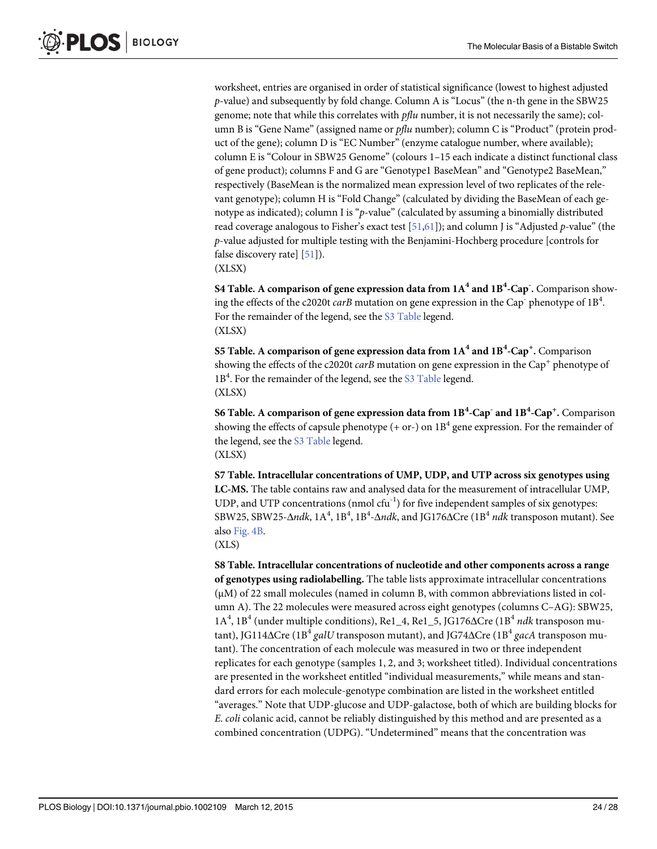<span id="page-23-0"></span>worksheet, entries are organised in order of statistical significance (lowest to highest adjusted p-value) and subsequently by fold change. Column A is "Locus" (the n-th gene in the SBW25 genome; note that while this correlates with  $pflu$  number, it is not necessarily the same); column B is "Gene Name" (assigned name or pflu number); column C is "Product" (protein product of the gene); column D is "EC Number" (enzyme catalogue number, where available); column E is "Colour in SBW25 Genome" (colours 1–15 each indicate a distinct functional class of gene product); columns F and G are "Genotype1 BaseMean" and "Genotype2 BaseMean," respectively (BaseMean is the normalized mean expression level of two replicates of the relevant genotype); column H is "Fold Change" (calculated by dividing the BaseMean of each genotype as indicated); column I is "p-value" (calculated by assuming a binomially distributed read coverage analogous to Fisher's exact test [[51,](#page-26-0)[61](#page-27-0)]); and column J is "Adjusted  $p$ -value" (the p-value adjusted for multiple testing with the Benjamini-Hochberg procedure [controls for false discovery rate [[51\]](#page-26-0)).



[S4 Table](http://www.plosone.org/article/fetchSingleRepresentation.action?uri=info:doi/10.1371/journal.pbio.1002109.s020). A comparison of gene expression data from  $1\text{A}^4$  and  $1\text{B}^4$ -Cap . Comparison showing the effects of the c2020t *carB* mutation on gene expression in the Cap<sup>-</sup> phenotype of  $1B^4$ . For the remainder of the legend, see the [S3 Table](#page-22-0) legend. (XLSX)

[S5 Table](http://www.plosone.org/article/fetchSingleRepresentation.action?uri=info:doi/10.1371/journal.pbio.1002109.s021). A comparison of gene expression data from  $1A<sup>4</sup>$  and  $1B<sup>4</sup>$ -Cap<sup>+</sup>. Comparison showing the effects of the c2020t carB mutation on gene expression in the Cap<sup>+</sup> phenotype of 1B<sup>4</sup>. For the remainder of the legend, see the [S3 Table](#page-22-0) legend. (XLSX)

[S6 Table](http://www.plosone.org/article/fetchSingleRepresentation.action?uri=info:doi/10.1371/journal.pbio.1002109.s022). A comparison of gene expression data from  $1B^4$ -Cap<sup>-</sup> and  $1B^4$ -Cap<sup>+</sup>. Comparison showing the effects of capsule phenotype (+ or-) on  $1B<sup>4</sup>$  gene expression. For the remainder of the legend, see the [S3 Table](#page-22-0) legend. (XLSX)

[S7 Table](http://www.plosone.org/article/fetchSingleRepresentation.action?uri=info:doi/10.1371/journal.pbio.1002109.s023). Intracellular concentrations of UMP, UDP, and UTP across six genotypes using LC-MS. The table contains raw and analysed data for the measurement of intracellular UMP, UDP, and UTP concentrations (nmol  $cfu^{-1}$ ) for five independent samples of six genotypes: SBW25, SBW25- $\Delta$ ndk, 1A<sup>4</sup>, 1B<sup>4</sup>, 1B<sup>4</sup>- $\Delta$ ndk, and JG176 $\Delta$ Cre (1B<sup>4</sup> ndk transposon mutant). See also [Fig. 4B](#page-7-0).

(XLS)

[S8 Table](http://www.plosone.org/article/fetchSingleRepresentation.action?uri=info:doi/10.1371/journal.pbio.1002109.s024). Intracellular concentrations of nucleotide and other components across a range of genotypes using radiolabelling. The table lists approximate intracellular concentrations (μM) of 22 small molecules (named in column B, with common abbreviations listed in column A). The 22 molecules were measured across eight genotypes (columns C–AG): SBW25, 1A<sup>4</sup>, 1B<sup>4</sup> (under multiple conditions), Re1\_4, Re1\_5, JG176ΔCre (1B<sup>4</sup> ndk transposon mutant), JG114 $\Delta$ Cre (1B<sup>4</sup> galU transposon mutant), and JG74 $\Delta$ Cre (1B<sup>4</sup> gacA transposon mutant). The concentration of each molecule was measured in two or three independent replicates for each genotype (samples 1, 2, and 3; worksheet titled). Individual concentrations are presented in the worksheet entitled "individual measurements," while means and standard errors for each molecule-genotype combination are listed in the worksheet entitled "averages." Note that UDP-glucose and UDP-galactose, both of which are building blocks for E. coli colanic acid, cannot be reliably distinguished by this method and are presented as a combined concentration (UDPG). "Undetermined" means that the concentration was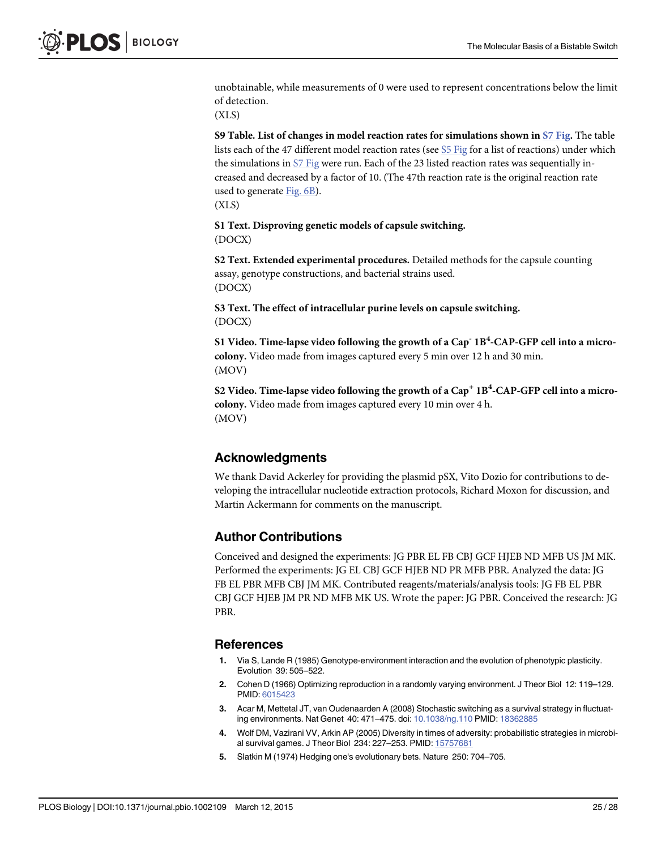<span id="page-24-0"></span>unobtainable, while measurements of 0 were used to represent concentrations below the limit of detection.

(XLS)

[S9 Table](http://www.plosone.org/article/fetchSingleRepresentation.action?uri=info:doi/10.1371/journal.pbio.1002109.s025). List of changes in model reaction rates for simulations shown in [S7 Fig](#page-22-0). The table lists each of the 47 different model reaction rates (see [S5 Fig](#page-21-0) for a list of reactions) under which the simulations in [S7 Fig](#page-22-0) were run. Each of the 23 listed reaction rates was sequentially increased and decreased by a factor of 10. (The 47th reaction rate is the original reaction rate used to generate [Fig. 6B\)](#page-13-0).

(XLS)

[S1 Text.](http://www.plosone.org/article/fetchSingleRepresentation.action?uri=info:doi/10.1371/journal.pbio.1002109.s026) Disproving genetic models of capsule switching. (DOCX)

[S2 Text.](http://www.plosone.org/article/fetchSingleRepresentation.action?uri=info:doi/10.1371/journal.pbio.1002109.s027) Extended experimental procedures. Detailed methods for the capsule counting assay, genotype constructions, and bacterial strains used. (DOCX)

[S3 Text.](http://www.plosone.org/article/fetchSingleRepresentation.action?uri=info:doi/10.1371/journal.pbio.1002109.s028) The effect of intracellular purine levels on capsule switching. (DOCX)

[S1 Video](http://www.plosone.org/article/fetchSingleRepresentation.action?uri=info:doi/10.1371/journal.pbio.1002109.s029). Time-lapse video following the growth of a Cap $^{\text{-}}$  1B $^{\text{4}}$ -CAP-GFP cell into a microcolony. Video made from images captured every 5 min over 12 h and 30 min. (MOV)

[S2 Video](http://www.plosone.org/article/fetchSingleRepresentation.action?uri=info:doi/10.1371/journal.pbio.1002109.s030). Time-lapse video following the growth of a  $\mathrm{Cap}^+$  1B $^4$ -CAP-GFP cell into a microcolony. Video made from images captured every 10 min over 4 h. (MOV)

#### Acknowledgments

We thank David Ackerley for providing the plasmid pSX, Vito Dozio for contributions to developing the intracellular nucleotide extraction protocols, Richard Moxon for discussion, and Martin Ackermann for comments on the manuscript.

#### Author Contributions

Conceived and designed the experiments: JG PBR EL FB CBJ GCF HJEB ND MFB US JM MK. Performed the experiments: JG EL CBJ GCF HJEB ND PR MFB PBR. Analyzed the data: JG FB EL PBR MFB CBJ JM MK. Contributed reagents/materials/analysis tools: JG FB EL PBR CBJ GCF HJEB JM PR ND MFB MK US. Wrote the paper: JG PBR. Conceived the research: JG PBR.

#### References

- [1.](#page-1-0) Via S, Lande R (1985) Genotype-environment interaction and the evolution of phenotypic plasticity. Evolution 39: 505–522.
- [2.](#page-1-0) Cohen D (1966) Optimizing reproduction in a randomly varying environment. J Theor Biol 12: 119–129. PMID: [6015423](http://www.ncbi.nlm.nih.gov/pubmed/6015423)
- [3.](#page-1-0) Acar M, Mettetal JT, van Oudenaarden A (2008) Stochastic switching as a survival strategy in fluctuat-ing environments. Nat Genet 40: 471-475. doi: [10.1038/ng.110](http://dx.doi.org/10.1038/ng.110) PMID: [18362885](http://www.ncbi.nlm.nih.gov/pubmed/18362885)
- 4. Wolf DM, Vazirani VV, Arkin AP (2005) Diversity in times of adversity: probabilistic strategies in microbial survival games. J Theor Biol 234: 227–253. PMID: [15757681](http://www.ncbi.nlm.nih.gov/pubmed/15757681)
- [5.](#page-1-0) Slatkin M (1974) Hedging one's evolutionary bets. Nature 250: 704–705.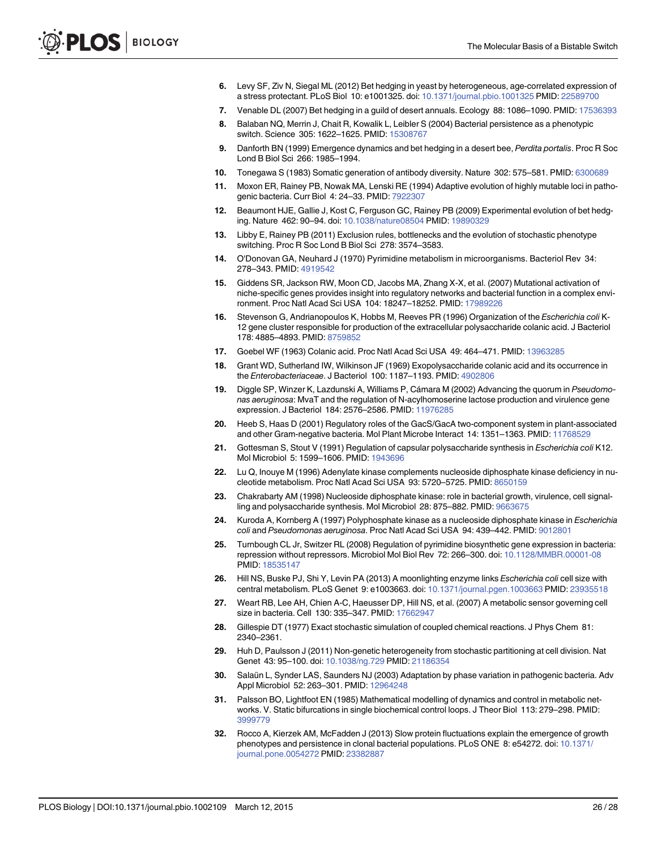- <span id="page-25-0"></span>[6.](#page-1-0) Levy SF, Ziv N, Siegal ML (2012) Bet hedging in yeast by heterogeneous, age-correlated expression of a stress protectant. PLoS Biol 10: e1001325. doi: [10.1371/journal.pbio.1001325](http://dx.doi.org/10.1371/journal.pbio.1001325) PMID: [22589700](http://www.ncbi.nlm.nih.gov/pubmed/22589700)
- 7. Venable DL (2007) Bet hedging in a guild of desert annuals. Ecology 88: 1086–1090. PMID: [17536393](http://www.ncbi.nlm.nih.gov/pubmed/17536393)
	- [8.](#page-16-0) Balaban NQ, Merrin J, Chait R, Kowalik L, Leibler S (2004) Bacterial persistence as a phenotypic switch. Science 305: 1622–1625. PMID: [15308767](http://www.ncbi.nlm.nih.gov/pubmed/15308767)
- 9. Danforth BN (1999) Emergence dynamics and bet hedging in a desert bee, Perdita portalis. Proc R Soc Lond B Biol Sci 266: 1985–1994.
- [10.](#page-1-0) Tonegawa S (1983) Somatic generation of antibody diversity. Nature 302: 575–581. PMID: [6300689](http://www.ncbi.nlm.nih.gov/pubmed/6300689)
- [11.](#page-1-0) Moxon ER, Rainey PB, Nowak MA, Lenski RE (1994) Adaptive evolution of highly mutable loci in pathogenic bacteria. Curr Biol 4: 24–33. PMID: [7922307](http://www.ncbi.nlm.nih.gov/pubmed/7922307)
- [12.](#page-1-0) Beaumont HJE, Gallie J, Kost C, Ferguson GC, Rainey PB (2009) Experimental evolution of bet hedging. Nature 462: 90–94. doi: [10.1038/nature08504](http://dx.doi.org/10.1038/nature08504) PMID: [19890329](http://www.ncbi.nlm.nih.gov/pubmed/19890329)
- [13.](#page-2-0) Libby E, Rainey PB (2011) Exclusion rules, bottlenecks and the evolution of stochastic phenotype switching. Proc R Soc Lond B Biol Sci 278: 3574–3583.
- [14.](#page-4-0) O'Donovan GA, Neuhard J (1970) Pyrimidine metabolism in microorganisms. Bacteriol Rev 34: 278–343. PMID: [4919542](http://www.ncbi.nlm.nih.gov/pubmed/4919542)
- [15.](#page-2-0) Giddens SR, Jackson RW, Moon CD, Jacobs MA, Zhang X-X, et al. (2007) Mutational activation of niche-specific genes provides insight into regulatory networks and bacterial function in a complex environment. Proc Natl Acad Sci USA 104: 18247–18252. PMID: [17989226](http://www.ncbi.nlm.nih.gov/pubmed/17989226)
- [16.](#page-2-0) Stevenson G, Andrianopoulos K, Hobbs M, Reeves PR (1996) Organization of the Escherichia coli K-12 gene cluster responsible for production of the extracellular polysaccharide colanic acid. J Bacteriol 178: 4885–4893. PMID: [8759852](http://www.ncbi.nlm.nih.gov/pubmed/8759852)
- [17.](#page-4-0) Goebel WF (1963) Colanic acid. Proc Natl Acad Sci USA 49: 464–471. PMID: [13963285](http://www.ncbi.nlm.nih.gov/pubmed/13963285)
- [18.](#page-4-0) Grant WD, Sutherland IW, Wilkinson JF (1969) Exopolysaccharide colanic acid and its occurrence in the Enterobacteriaceae. J Bacteriol 100: 1187–1193. PMID: [4902806](http://www.ncbi.nlm.nih.gov/pubmed/4902806)
- [19.](#page-5-0) Diggle SP, Winzer K, Lazdunski A, Williams P, Cámara M (2002) Advancing the quorum in Pseudomonas aeruginosa: MvaT and the regulation of N-acylhomoserine lactose production and virulence gene expression. J Bacteriol 184: 2576–2586. PMID: [11976285](http://www.ncbi.nlm.nih.gov/pubmed/11976285)
- [20.](#page-6-0) Heeb S, Haas D (2001) Regulatory roles of the GacS/GacA two-component system in plant-associated and other Gram-negative bacteria. Mol Plant Microbe Interact 14: 1351–1363. PMID: [11768529](http://www.ncbi.nlm.nih.gov/pubmed/11768529)
- [21.](#page-6-0) Gottesman S, Stout V (1991) Regulation of capsular polysaccharide synthesis in *Escherichia coli* K12. Mol Microbiol 5: 1599–1606. PMID: [1943696](http://www.ncbi.nlm.nih.gov/pubmed/1943696)
- [22.](#page-6-0) Lu Q, Inouye M (1996) Adenylate kinase complements nucleoside diphosphate kinase deficiency in nucleotide metabolism. Proc Natl Acad Sci USA 93: 5720–5725. PMID: [8650159](http://www.ncbi.nlm.nih.gov/pubmed/8650159)
- [23.](#page-6-0) Chakrabarty AM (1998) Nucleoside diphosphate kinase: role in bacterial growth, virulence, cell signalling and polysaccharide synthesis. Mol Microbiol 28: 875–882. PMID: [9663675](http://www.ncbi.nlm.nih.gov/pubmed/9663675)
- [24.](#page-6-0) Kuroda A, Kornberg A (1997) Polyphosphate kinase as a nucleoside diphosphate kinase in Escherichia coli and Pseudomonas aeruginosa. Proc Natl Acad Sci USA 94: 439–442. PMID: [9012801](http://www.ncbi.nlm.nih.gov/pubmed/9012801)
- [25.](#page-8-0) Turnbough CL Jr, Switzer RL (2008) Regulation of pyrimidine biosynthetic gene expression in bacteria: repression without repressors. Microbiol Mol Biol Rev 72: 266–300. doi: [10.1128/MMBR.00001-08](http://dx.doi.org/10.1128/MMBR.00001-08) PMID: [18535147](http://www.ncbi.nlm.nih.gov/pubmed/18535147)
- [26.](#page-11-0) Hill NS, Buske PJ, Shi Y, Levin PA (2013) A moonlighting enzyme links Escherichia coli cell size with central metabolism. PLoS Genet 9: e1003663. doi: [10.1371/journal.pgen.1003663](http://dx.doi.org/10.1371/journal.pgen.1003663) PMID: [23935518](http://www.ncbi.nlm.nih.gov/pubmed/23935518)
- [27.](#page-11-0) Weart RB, Lee AH, Chien A-C, Haeusser DP, Hill NS, et al. (2007) A metabolic sensor governing cell size in bacteria. Cell 130: 335–347. PMID: [17662947](http://www.ncbi.nlm.nih.gov/pubmed/17662947)
- [28.](#page-12-0) Gillespie DT (1977) Exact stochastic simulation of coupled chemical reactions. J Phys Chem 81: 2340–2361.
- [29.](#page-14-0) Huh D, Paulsson J (2011) Non-genetic heterogeneity from stochastic partitioning at cell division. Nat Genet 43: 95–100. doi: [10.1038/ng.729](http://dx.doi.org/10.1038/ng.729) PMID: [21186354](http://www.ncbi.nlm.nih.gov/pubmed/21186354)
- [30.](#page-14-0) Salaün L, Synder LAS, Saunders NJ (2003) Adaptation by phase variation in pathogenic bacteria. Adv Appl Microbiol 52: 263–301. PMID: [12964248](http://www.ncbi.nlm.nih.gov/pubmed/12964248)
- [31.](#page-15-0) Palsson BO, Lightfoot EN (1985) Mathematical modelling of dynamics and control in metabolic networks. V. Static bifurcations in single biochemical control loops. J Theor Biol 113: 279–298. PMID: [3999779](http://www.ncbi.nlm.nih.gov/pubmed/3999779)
- [32.](#page-16-0) Rocco A, Kierzek AM, McFadden J (2013) Slow protein fluctuations explain the emergence of growth phenotypes and persistence in clonal bacterial populations. PLoS ONE 8: e54272. doi: [10.1371/](http://dx.doi.org/10.1371/journal.pone.0054272) [journal.pone.0054272](http://dx.doi.org/10.1371/journal.pone.0054272) PMID: [23382887](http://www.ncbi.nlm.nih.gov/pubmed/23382887)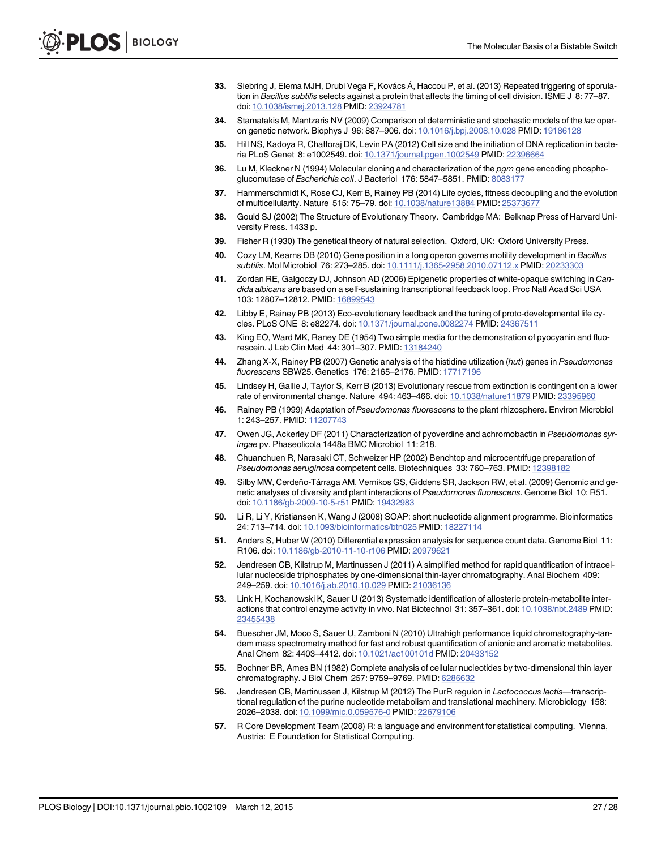- <span id="page-26-0"></span>[33.](#page-16-0) Siebring J, Elema MJH, Drubi Vega F, Kovács Á, Haccou P, et al. (2013) Repeated triggering of sporulation in Bacillus subtilis selects against a protein that affects the timing of cell division. ISME J 8: 77–87. doi: [10.1038/ismej.2013.128](http://dx.doi.org/10.1038/ismej.2013.128) PMID: [23924781](http://www.ncbi.nlm.nih.gov/pubmed/23924781)
- **[34.](#page-16-0)** Stamatakis M, Mantzaris NV (2009) Comparison of deterministic and stochastic models of the lac operon genetic network. Biophys J 96: 887–906. doi: [10.1016/j.bpj.2008.10.028](http://dx.doi.org/10.1016/j.bpj.2008.10.028) PMID: [19186128](http://www.ncbi.nlm.nih.gov/pubmed/19186128)
- [35.](#page-16-0) Hill NS, Kadoya R, Chattoraj DK, Levin PA (2012) Cell size and the initiation of DNA replication in bacteria PLoS Genet 8: e1002549. doi: [10.1371/journal.pgen.1002549](http://dx.doi.org/10.1371/journal.pgen.1002549) PMID: [22396664](http://www.ncbi.nlm.nih.gov/pubmed/22396664)
- [36.](#page-16-0) Lu M, Kleckner N (1994) Molecular cloning and characterization of the pgm gene encoding phosphoglucomutase of Escherichia coli. J Bacteriol 176: 5847–5851. PMID: [8083177](http://www.ncbi.nlm.nih.gov/pubmed/8083177)
- [37.](#page-16-0) Hammerschmidt K, Rose CJ, Kerr B, Rainey PB (2014) Life cycles, fitness decoupling and the evolution of multicellularity. Nature 515: 75–79. doi: [10.1038/nature13884](http://dx.doi.org/10.1038/nature13884) PMID: [25373677](http://www.ncbi.nlm.nih.gov/pubmed/25373677)
- 38. Gould SJ (2002) The Structure of Evolutionary Theory. Cambridge MA: Belknap Press of Harvard University Press. 1433 p.
- [39.](#page-16-0) Fisher R (1930) The genetical theory of natural selection. Oxford, UK: Oxford University Press.
- [40.](#page-16-0) Cozy LM, Kearns DB (2010) Gene position in a long operon governs motility development in Bacillus subtilis. Mol Microbiol 76: 273–285. doi: [10.1111/j.1365-2958.2010.07112.x](http://dx.doi.org/10.1111/j.1365-2958.2010.07112.x) PMID: [20233303](http://www.ncbi.nlm.nih.gov/pubmed/20233303)
- [41.](#page-16-0) Zordan RE, Galgoczy DJ, Johnson AD (2006) Epigenetic properties of white-opaque switching in Candida albicans are based on a self-sustaining transcriptional feedback loop. Proc Natl Acad Sci USA 103: 12807–12812. PMID: [16899543](http://www.ncbi.nlm.nih.gov/pubmed/16899543)
- [42.](#page-16-0) Libby E, Rainey PB (2013) Eco-evolutionary feedback and the tuning of proto-developmental life cycles. PLoS ONE 8: e82274. doi: [10.1371/journal.pone.0082274](http://dx.doi.org/10.1371/journal.pone.0082274) PMID: [24367511](http://www.ncbi.nlm.nih.gov/pubmed/24367511)
- [43.](#page-16-0) King EO, Ward MK, Raney DE (1954) Two simple media for the demonstration of pyocyanin and fluorescein. J Lab Clin Med 44: 301–307. PMID: [13184240](http://www.ncbi.nlm.nih.gov/pubmed/13184240)
- [44.](#page-17-0) Zhang X-X, Rainey PB (2007) Genetic analysis of the histidine utilization (hut) genes in Pseudomonas fluorescens SBW25. Genetics 176: 2165–2176. PMID: [17717196](http://www.ncbi.nlm.nih.gov/pubmed/17717196)
- [45.](#page-17-0) Lindsey H, Gallie J, Taylor S, Kerr B (2013) Evolutionary rescue from extinction is contingent on a lower rate of environmental change. Nature 494: 463–466. doi: [10.1038/nature11879](http://dx.doi.org/10.1038/nature11879) PMID: [23395960](http://www.ncbi.nlm.nih.gov/pubmed/23395960)
- [46.](#page-17-0) Rainey PB (1999) Adaptation of Pseudomonas fluorescens to the plant rhizosphere. Environ Microbiol 1: 243–257. PMID: [11207743](http://www.ncbi.nlm.nih.gov/pubmed/11207743)
- [47.](#page-17-0) Owen JG, Ackerley DF (2011) Characterization of pyoverdine and achromobactin in Pseudomonas syringae pv. Phaseolicola 1448a BMC Microbiol 11: 218.
- [48.](#page-17-0) Chuanchuen R, Narasaki CT, Schweizer HP (2002) Benchtop and microcentrifuge preparation of Pseudomonas aeruginosa competent cells. Biotechniques 33: 760–763. PMID: [12398182](http://www.ncbi.nlm.nih.gov/pubmed/12398182)
- [49.](#page-18-0) Silby MW, Cerdeño-Tárraga AM, Vernikos GS, Giddens SR, Jackson RW, et al. (2009) Genomic and genetic analyses of diversity and plant interactions of Pseudomonas fluorescens. Genome Biol 10: R51. doi: [10.1186/gb-2009-10-5-r51](http://dx.doi.org/10.1186/gb-2009-10-5-r51) PMID: [19432983](http://www.ncbi.nlm.nih.gov/pubmed/19432983)
- [50.](#page-18-0) Li R, Li Y, Kristiansen K, Wang J (2008) SOAP: short nucleotide alignment programme. Bioinformatics 24: 713–714. doi: [10.1093/bioinformatics/btn025](http://dx.doi.org/10.1093/bioinformatics/btn025) PMID: [18227114](http://www.ncbi.nlm.nih.gov/pubmed/18227114)
- [51.](#page-18-0) Anders S, Huber W (2010) Differential expression analysis for sequence count data. Genome Biol 11: R106. doi: [10.1186/gb-2010-11-10-r106](http://dx.doi.org/10.1186/gb-2010-11-10-r106) PMID: [20979621](http://www.ncbi.nlm.nih.gov/pubmed/20979621)
- [52.](#page-19-0) Jendresen CB, Kilstrup M, Martinussen J (2011) A simplified method for rapid quantification of intracellular nucleoside triphosphates by one-dimensional thin-layer chromatography. Anal Biochem 409: 249–259. doi: [10.1016/j.ab.2010.10.029](http://dx.doi.org/10.1016/j.ab.2010.10.029) PMID: [21036136](http://www.ncbi.nlm.nih.gov/pubmed/21036136)
- [53.](#page-19-0) Link H, Kochanowski K, Sauer U (2013) Systematic identification of allosteric protein-metabolite interactions that control enzyme activity in vivo. Nat Biotechnol 31: 357–361. doi: [10.1038/nbt.2489](http://dx.doi.org/10.1038/nbt.2489) PMID: [23455438](http://www.ncbi.nlm.nih.gov/pubmed/23455438)
- [54.](#page-19-0) Buescher JM, Moco S, Sauer U, Zamboni N (2010) Ultrahigh performance liquid chromatography-tandem mass spectrometry method for fast and robust quantification of anionic and aromatic metabolites. Anal Chem 82: 4403–4412. doi: [10.1021/ac100101d](http://dx.doi.org/10.1021/ac100101d) PMID: [20433152](http://www.ncbi.nlm.nih.gov/pubmed/20433152)
- [55.](#page-19-0) Bochner BR, Ames BN (1982) Complete analysis of cellular nucleotides by two-dimensional thin layer chromatography. J Biol Chem 257: 9759–9769. PMID: [6286632](http://www.ncbi.nlm.nih.gov/pubmed/6286632)
- [56.](#page-19-0) Jendresen CB, Martinussen J, Kilstrup M (2012) The PurR regulon in Lactococcus lactis—transcriptional regulation of the purine nucleotide metabolism and translational machinery. Microbiology 158: 2026–2038. doi: [10.1099/mic.0.059576-0](http://dx.doi.org/10.1099/mic.0.059576-0) PMID: [22679106](http://www.ncbi.nlm.nih.gov/pubmed/22679106)
- [57.](#page-19-0) R Core Development Team (2008) R: a language and environment for statistical computing. Vienna, Austria: E Foundation for Statistical Computing.